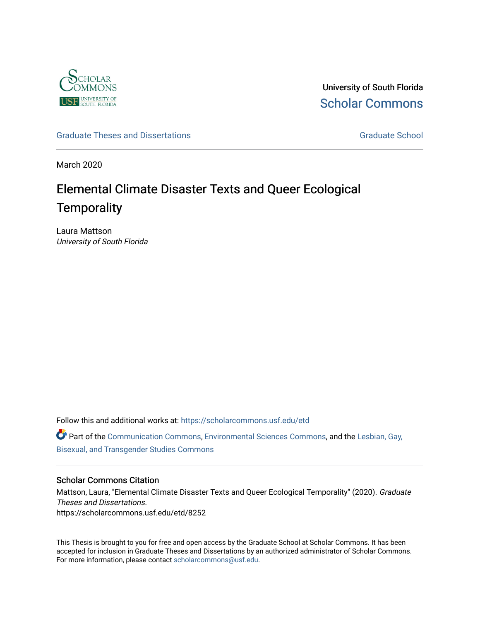

University of South Florida [Scholar Commons](https://scholarcommons.usf.edu/) 

# [Graduate Theses and Dissertations](https://scholarcommons.usf.edu/etd) [Graduate School](https://scholarcommons.usf.edu/grad) Craduate School Craduate School

March 2020

# Elemental Climate Disaster Texts and Queer Ecological **Temporality**

Laura Mattson University of South Florida

Follow this and additional works at: [https://scholarcommons.usf.edu/etd](https://scholarcommons.usf.edu/etd?utm_source=scholarcommons.usf.edu%2Fetd%2F8252&utm_medium=PDF&utm_campaign=PDFCoverPages) 

Part of the [Communication Commons,](http://network.bepress.com/hgg/discipline/325?utm_source=scholarcommons.usf.edu%2Fetd%2F8252&utm_medium=PDF&utm_campaign=PDFCoverPages) [Environmental Sciences Commons,](http://network.bepress.com/hgg/discipline/167?utm_source=scholarcommons.usf.edu%2Fetd%2F8252&utm_medium=PDF&utm_campaign=PDFCoverPages) and the [Lesbian, Gay,](http://network.bepress.com/hgg/discipline/560?utm_source=scholarcommons.usf.edu%2Fetd%2F8252&utm_medium=PDF&utm_campaign=PDFCoverPages)  [Bisexual, and Transgender Studies Commons](http://network.bepress.com/hgg/discipline/560?utm_source=scholarcommons.usf.edu%2Fetd%2F8252&utm_medium=PDF&utm_campaign=PDFCoverPages) 

## Scholar Commons Citation

Mattson, Laura, "Elemental Climate Disaster Texts and Queer Ecological Temporality" (2020). Graduate Theses and Dissertations. https://scholarcommons.usf.edu/etd/8252

This Thesis is brought to you for free and open access by the Graduate School at Scholar Commons. It has been accepted for inclusion in Graduate Theses and Dissertations by an authorized administrator of Scholar Commons. For more information, please contact [scholarcommons@usf.edu.](mailto:scholarcommons@usf.edu)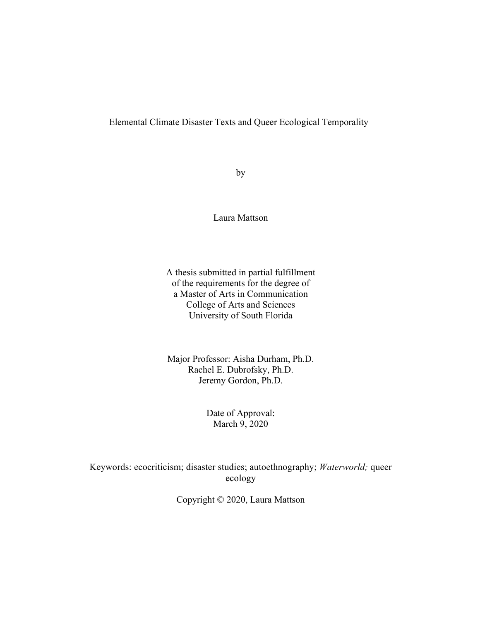# Elemental Climate Disaster Texts and Queer Ecological Temporality

by

Laura Mattson

A thesis submitted in partial fulfillment of the requirements for the degree of a Master of Arts in Communication College of Arts and Sciences University of South Florida

Major Professor: Aisha Durham, Ph.D. Rachel E. Dubrofsky, Ph.D. Jeremy Gordon, Ph.D.

> Date of Approval: March 9, 2020

Keywords: ecocriticism; disaster studies; autoethnography; *Waterworld;* queer ecology

Copyright © 2020, Laura Mattson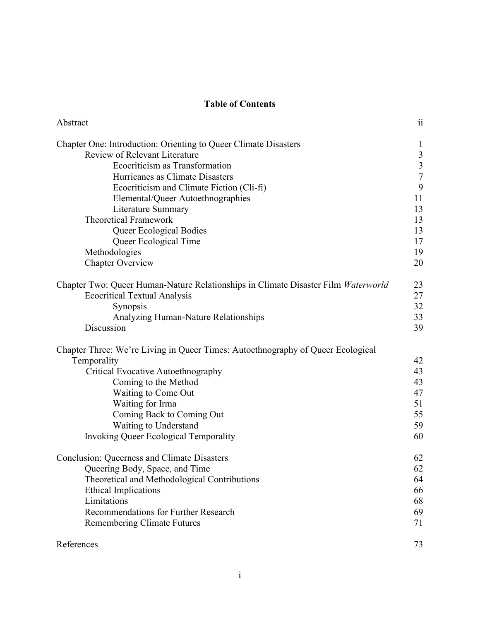# **Table of Contents**

| Abstract                                                                          | 11             |
|-----------------------------------------------------------------------------------|----------------|
| Chapter One: Introduction: Orienting to Queer Climate Disasters                   | $\mathbf{I}$   |
| <b>Review of Relevant Literature</b>                                              | $\mathfrak{Z}$ |
| Ecocriticism as Transformation                                                    | $rac{3}{7}$    |
| Hurricanes as Climate Disasters                                                   |                |
| Ecocriticism and Climate Fiction (Cli-fi)                                         | 9              |
| Elemental/Queer Autoethnographies                                                 | 11             |
| <b>Literature Summary</b>                                                         | 13             |
| <b>Theoretical Framework</b>                                                      | 13             |
| Queer Ecological Bodies                                                           | 13             |
| Queer Ecological Time                                                             | 17             |
| Methodologies                                                                     | 19             |
| <b>Chapter Overview</b>                                                           | 20             |
| Chapter Two: Queer Human-Nature Relationships in Climate Disaster Film Waterworld | 23             |
| <b>Ecocritical Textual Analysis</b>                                               | 27             |
| Synopsis                                                                          | 32             |
| Analyzing Human-Nature Relationships                                              | 33             |
| Discussion                                                                        | 39             |
| Chapter Three: We're Living in Queer Times: Autoethnography of Queer Ecological   |                |
| Temporality                                                                       | 42             |
| <b>Critical Evocative Autoethnography</b>                                         | 43             |
| Coming to the Method                                                              | 43             |
| Waiting to Come Out                                                               | 47             |
| Waiting for Irma                                                                  | 51             |
| Coming Back to Coming Out                                                         | 55             |
| Waiting to Understand                                                             | 59             |
| <b>Invoking Queer Ecological Temporality</b>                                      | 60             |
| <b>Conclusion: Queerness and Climate Disasters</b>                                | 62             |
| Queering Body, Space, and Time                                                    | 62             |
| Theoretical and Methodological Contributions                                      | 64             |
| <b>Ethical Implications</b>                                                       | 66             |
| Limitations                                                                       | 68             |
| Recommendations for Further Research                                              | 69             |
| Remembering Climate Futures                                                       | 71             |
| References                                                                        | 73             |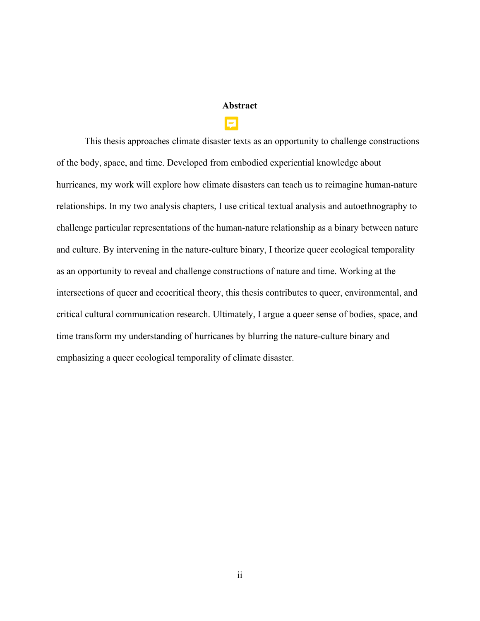# **Abstract**

This thesis approaches climate disaster texts as an opportunity to challenge constructions of the body, space, and time. Developed from embodied experiential knowledge about hurricanes, my work will explore how climate disasters can teach us to reimagine human-nature relationships. In my two analysis chapters, I use critical textual analysis and autoethnography to challenge particular representations of the human-nature relationship as a binary between nature and culture. By intervening in the nature-culture binary, I theorize queer ecological temporality as an opportunity to reveal and challenge constructions of nature and time. Working at the intersections of queer and ecocritical theory, this thesis contributes to queer, environmental, and critical cultural communication research. Ultimately, I argue a queer sense of bodies, space, and time transform my understanding of hurricanes by blurring the nature-culture binary and emphasizing a queer ecological temporality of climate disaster.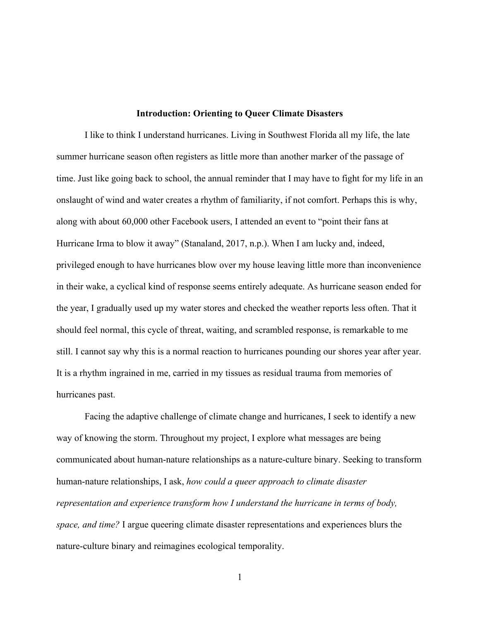#### **Introduction: Orienting to Queer Climate Disasters**

I like to think I understand hurricanes. Living in Southwest Florida all my life, the late summer hurricane season often registers as little more than another marker of the passage of time. Just like going back to school, the annual reminder that I may have to fight for my life in an onslaught of wind and water creates a rhythm of familiarity, if not comfort. Perhaps this is why, along with about 60,000 other Facebook users, I attended an event to "point their fans at Hurricane Irma to blow it away" (Stanaland, 2017, n.p.). When I am lucky and, indeed, privileged enough to have hurricanes blow over my house leaving little more than inconvenience in their wake, a cyclical kind of response seems entirely adequate. As hurricane season ended for the year, I gradually used up my water stores and checked the weather reports less often. That it should feel normal, this cycle of threat, waiting, and scrambled response, is remarkable to me still. I cannot say why this is a normal reaction to hurricanes pounding our shores year after year. It is a rhythm ingrained in me, carried in my tissues as residual trauma from memories of hurricanes past.

Facing the adaptive challenge of climate change and hurricanes, I seek to identify a new way of knowing the storm. Throughout my project, I explore what messages are being communicated about human-nature relationships as a nature-culture binary. Seeking to transform human-nature relationships, I ask, *how could a queer approach to climate disaster representation and experience transform how I understand the hurricane in terms of body, space, and time?* I argue queering climate disaster representations and experiences blurs the nature-culture binary and reimagines ecological temporality.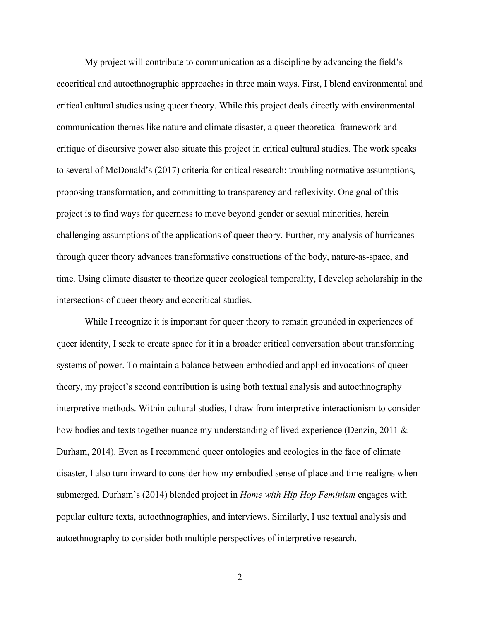My project will contribute to communication as a discipline by advancing the field's ecocritical and autoethnographic approaches in three main ways. First, I blend environmental and critical cultural studies using queer theory. While this project deals directly with environmental communication themes like nature and climate disaster, a queer theoretical framework and critique of discursive power also situate this project in critical cultural studies. The work speaks to several of McDonald's (2017) criteria for critical research: troubling normative assumptions, proposing transformation, and committing to transparency and reflexivity. One goal of this project is to find ways for queerness to move beyond gender or sexual minorities, herein challenging assumptions of the applications of queer theory. Further, my analysis of hurricanes through queer theory advances transformative constructions of the body, nature-as-space, and time. Using climate disaster to theorize queer ecological temporality, I develop scholarship in the intersections of queer theory and ecocritical studies.

While I recognize it is important for queer theory to remain grounded in experiences of queer identity, I seek to create space for it in a broader critical conversation about transforming systems of power. To maintain a balance between embodied and applied invocations of queer theory, my project's second contribution is using both textual analysis and autoethnography interpretive methods. Within cultural studies, I draw from interpretive interactionism to consider how bodies and texts together nuance my understanding of lived experience (Denzin, 2011 & Durham, 2014). Even as I recommend queer ontologies and ecologies in the face of climate disaster, I also turn inward to consider how my embodied sense of place and time realigns when submerged. Durham's (2014) blended project in *Home with Hip Hop Feminism* engages with popular culture texts, autoethnographies, and interviews. Similarly, I use textual analysis and autoethnography to consider both multiple perspectives of interpretive research.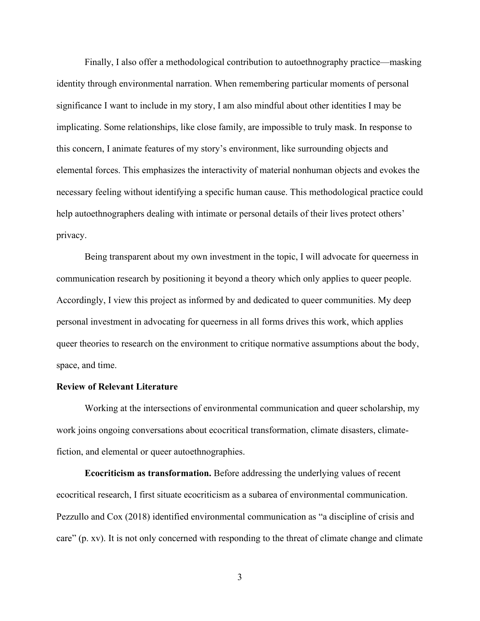Finally, I also offer a methodological contribution to autoethnography practice—masking identity through environmental narration. When remembering particular moments of personal significance I want to include in my story, I am also mindful about other identities I may be implicating. Some relationships, like close family, are impossible to truly mask. In response to this concern, I animate features of my story's environment, like surrounding objects and elemental forces. This emphasizes the interactivity of material nonhuman objects and evokes the necessary feeling without identifying a specific human cause. This methodological practice could help autoethnographers dealing with intimate or personal details of their lives protect others' privacy.

Being transparent about my own investment in the topic, I will advocate for queerness in communication research by positioning it beyond a theory which only applies to queer people. Accordingly, I view this project as informed by and dedicated to queer communities. My deep personal investment in advocating for queerness in all forms drives this work, which applies queer theories to research on the environment to critique normative assumptions about the body, space, and time.

# **Review of Relevant Literature**

Working at the intersections of environmental communication and queer scholarship, my work joins ongoing conversations about ecocritical transformation, climate disasters, climatefiction, and elemental or queer autoethnographies.

**Ecocriticism as transformation.** Before addressing the underlying values of recent ecocritical research, I first situate ecocriticism as a subarea of environmental communication. Pezzullo and Cox (2018) identified environmental communication as "a discipline of crisis and care" (p. xv). It is not only concerned with responding to the threat of climate change and climate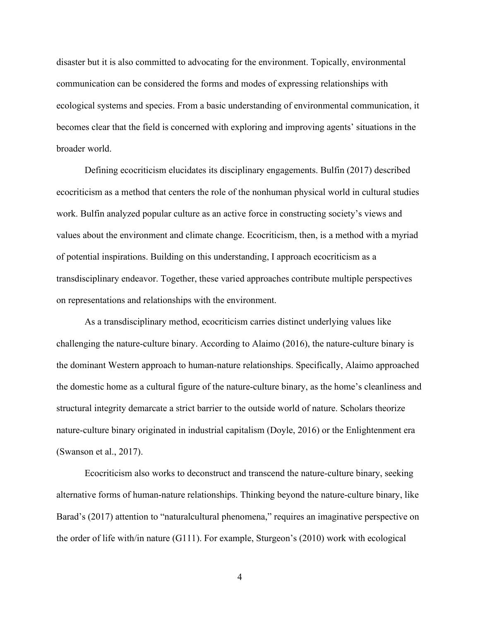disaster but it is also committed to advocating for the environment. Topically, environmental communication can be considered the forms and modes of expressing relationships with ecological systems and species. From a basic understanding of environmental communication, it becomes clear that the field is concerned with exploring and improving agents' situations in the broader world.

Defining ecocriticism elucidates its disciplinary engagements. Bulfin (2017) described ecocriticism as a method that centers the role of the nonhuman physical world in cultural studies work. Bulfin analyzed popular culture as an active force in constructing society's views and values about the environment and climate change. Ecocriticism, then, is a method with a myriad of potential inspirations. Building on this understanding, I approach ecocriticism as a transdisciplinary endeavor. Together, these varied approaches contribute multiple perspectives on representations and relationships with the environment.

As a transdisciplinary method, ecocriticism carries distinct underlying values like challenging the nature-culture binary. According to Alaimo (2016), the nature-culture binary is the dominant Western approach to human-nature relationships. Specifically, Alaimo approached the domestic home as a cultural figure of the nature-culture binary, as the home's cleanliness and structural integrity demarcate a strict barrier to the outside world of nature. Scholars theorize nature-culture binary originated in industrial capitalism (Doyle, 2016) or the Enlightenment era (Swanson et al., 2017).

Ecocriticism also works to deconstruct and transcend the nature-culture binary, seeking alternative forms of human-nature relationships. Thinking beyond the nature-culture binary, like Barad's (2017) attention to "naturalcultural phenomena," requires an imaginative perspective on the order of life with/in nature (G111). For example, Sturgeon's (2010) work with ecological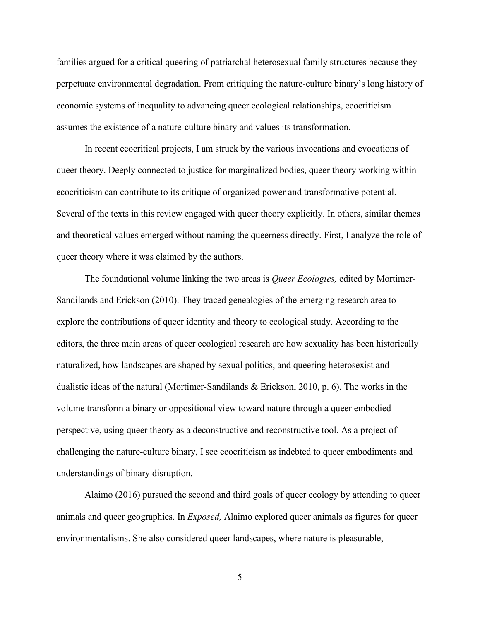families argued for a critical queering of patriarchal heterosexual family structures because they perpetuate environmental degradation. From critiquing the nature-culture binary's long history of economic systems of inequality to advancing queer ecological relationships, ecocriticism assumes the existence of a nature-culture binary and values its transformation.

In recent ecocritical projects, I am struck by the various invocations and evocations of queer theory. Deeply connected to justice for marginalized bodies, queer theory working within ecocriticism can contribute to its critique of organized power and transformative potential. Several of the texts in this review engaged with queer theory explicitly. In others, similar themes and theoretical values emerged without naming the queerness directly. First, I analyze the role of queer theory where it was claimed by the authors.

The foundational volume linking the two areas is *Queer Ecologies,* edited by Mortimer-Sandilands and Erickson (2010). They traced genealogies of the emerging research area to explore the contributions of queer identity and theory to ecological study. According to the editors, the three main areas of queer ecological research are how sexuality has been historically naturalized, how landscapes are shaped by sexual politics, and queering heterosexist and dualistic ideas of the natural (Mortimer-Sandilands & Erickson, 2010, p. 6). The works in the volume transform a binary or oppositional view toward nature through a queer embodied perspective, using queer theory as a deconstructive and reconstructive tool. As a project of challenging the nature-culture binary, I see ecocriticism as indebted to queer embodiments and understandings of binary disruption.

Alaimo (2016) pursued the second and third goals of queer ecology by attending to queer animals and queer geographies. In *Exposed,* Alaimo explored queer animals as figures for queer environmentalisms. She also considered queer landscapes, where nature is pleasurable,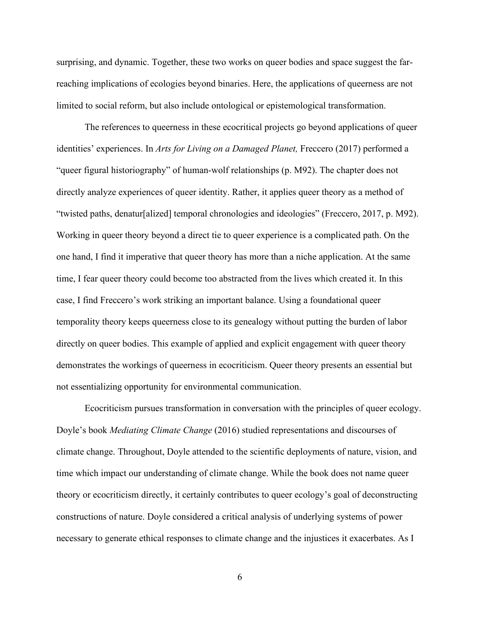surprising, and dynamic. Together, these two works on queer bodies and space suggest the farreaching implications of ecologies beyond binaries. Here, the applications of queerness are not limited to social reform, but also include ontological or epistemological transformation.

The references to queerness in these ecocritical projects go beyond applications of queer identities' experiences. In *Arts for Living on a Damaged Planet,* Freccero (2017) performed a "queer figural historiography" of human-wolf relationships (p. M92). The chapter does not directly analyze experiences of queer identity. Rather, it applies queer theory as a method of "twisted paths, denatur[alized] temporal chronologies and ideologies" (Freccero, 2017, p. M92). Working in queer theory beyond a direct tie to queer experience is a complicated path. On the one hand, I find it imperative that queer theory has more than a niche application. At the same time, I fear queer theory could become too abstracted from the lives which created it. In this case, I find Freccero's work striking an important balance. Using a foundational queer temporality theory keeps queerness close to its genealogy without putting the burden of labor directly on queer bodies. This example of applied and explicit engagement with queer theory demonstrates the workings of queerness in ecocriticism. Queer theory presents an essential but not essentializing opportunity for environmental communication.

Ecocriticism pursues transformation in conversation with the principles of queer ecology. Doyle's book *Mediating Climate Change* (2016) studied representations and discourses of climate change. Throughout, Doyle attended to the scientific deployments of nature, vision, and time which impact our understanding of climate change. While the book does not name queer theory or ecocriticism directly, it certainly contributes to queer ecology's goal of deconstructing constructions of nature. Doyle considered a critical analysis of underlying systems of power necessary to generate ethical responses to climate change and the injustices it exacerbates. As I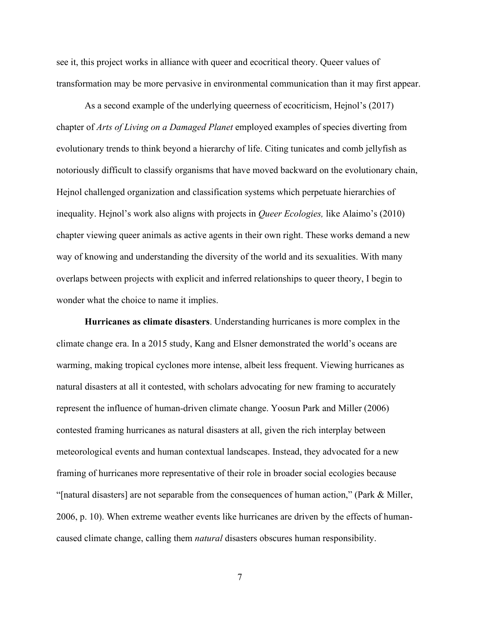see it, this project works in alliance with queer and ecocritical theory. Queer values of transformation may be more pervasive in environmental communication than it may first appear.

As a second example of the underlying queerness of ecocriticism, Hejnol's (2017) chapter of *Arts of Living on a Damaged Planet* employed examples of species diverting from evolutionary trends to think beyond a hierarchy of life. Citing tunicates and comb jellyfish as notoriously difficult to classify organisms that have moved backward on the evolutionary chain, Hejnol challenged organization and classification systems which perpetuate hierarchies of inequality. Hejnol's work also aligns with projects in *Queer Ecologies,* like Alaimo's (2010) chapter viewing queer animals as active agents in their own right. These works demand a new way of knowing and understanding the diversity of the world and its sexualities. With many overlaps between projects with explicit and inferred relationships to queer theory, I begin to wonder what the choice to name it implies.

**Hurricanes as climate disasters**. Understanding hurricanes is more complex in the climate change era. In a 2015 study, Kang and Elsner demonstrated the world's oceans are warming, making tropical cyclones more intense, albeit less frequent. Viewing hurricanes as natural disasters at all it contested, with scholars advocating for new framing to accurately represent the influence of human-driven climate change. Yoosun Park and Miller (2006) contested framing hurricanes as natural disasters at all, given the rich interplay between meteorological events and human contextual landscapes. Instead, they advocated for a new framing of hurricanes more representative of their role in broader social ecologies because "[natural disasters] are not separable from the consequences of human action," (Park & Miller, 2006, p. 10). When extreme weather events like hurricanes are driven by the effects of humancaused climate change, calling them *natural* disasters obscures human responsibility.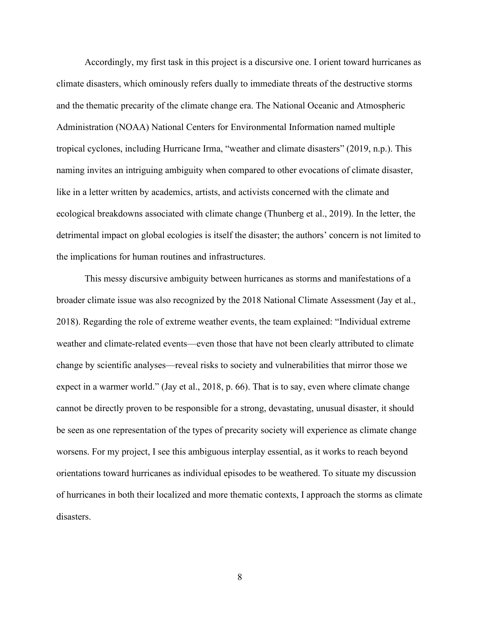Accordingly, my first task in this project is a discursive one. I orient toward hurricanes as climate disasters, which ominously refers dually to immediate threats of the destructive storms and the thematic precarity of the climate change era. The National Oceanic and Atmospheric Administration (NOAA) National Centers for Environmental Information named multiple tropical cyclones, including Hurricane Irma, "weather and climate disasters" (2019, n.p.). This naming invites an intriguing ambiguity when compared to other evocations of climate disaster, like in a letter written by academics, artists, and activists concerned with the climate and ecological breakdowns associated with climate change (Thunberg et al., 2019). In the letter, the detrimental impact on global ecologies is itself the disaster; the authors' concern is not limited to the implications for human routines and infrastructures.

This messy discursive ambiguity between hurricanes as storms and manifestations of a broader climate issue was also recognized by the 2018 National Climate Assessment (Jay et al., 2018). Regarding the role of extreme weather events, the team explained: "Individual extreme weather and climate-related events—even those that have not been clearly attributed to climate change by scientific analyses—reveal risks to society and vulnerabilities that mirror those we expect in a warmer world." (Jay et al., 2018, p. 66). That is to say, even where climate change cannot be directly proven to be responsible for a strong, devastating, unusual disaster, it should be seen as one representation of the types of precarity society will experience as climate change worsens. For my project, I see this ambiguous interplay essential, as it works to reach beyond orientations toward hurricanes as individual episodes to be weathered. To situate my discussion of hurricanes in both their localized and more thematic contexts, I approach the storms as climate disasters.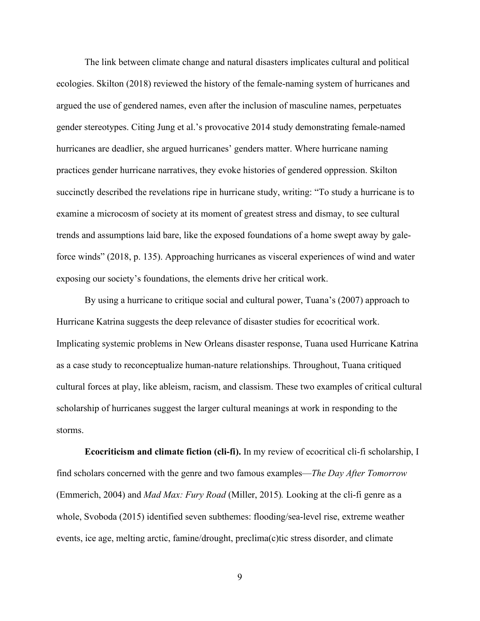The link between climate change and natural disasters implicates cultural and political ecologies. Skilton (2018) reviewed the history of the female-naming system of hurricanes and argued the use of gendered names, even after the inclusion of masculine names, perpetuates gender stereotypes. Citing Jung et al.'s provocative 2014 study demonstrating female-named hurricanes are deadlier, she argued hurricanes' genders matter. Where hurricane naming practices gender hurricane narratives, they evoke histories of gendered oppression. Skilton succinctly described the revelations ripe in hurricane study, writing: "To study a hurricane is to examine a microcosm of society at its moment of greatest stress and dismay, to see cultural trends and assumptions laid bare, like the exposed foundations of a home swept away by galeforce winds" (2018, p. 135). Approaching hurricanes as visceral experiences of wind and water exposing our society's foundations, the elements drive her critical work.

By using a hurricane to critique social and cultural power, Tuana's (2007) approach to Hurricane Katrina suggests the deep relevance of disaster studies for ecocritical work. Implicating systemic problems in New Orleans disaster response, Tuana used Hurricane Katrina as a case study to reconceptualize human-nature relationships. Throughout, Tuana critiqued cultural forces at play, like ableism, racism, and classism. These two examples of critical cultural scholarship of hurricanes suggest the larger cultural meanings at work in responding to the storms.

**Ecocriticism and climate fiction (cli-fi).** In my review of ecocritical cli-fi scholarship, I find scholars concerned with the genre and two famous examples—*The Day After Tomorrow*  (Emmerich, 2004) and *Mad Max: Fury Road* (Miller, 2015)*.* Looking at the cli-fi genre as a whole, Svoboda (2015) identified seven subthemes: flooding/sea-level rise, extreme weather events, ice age, melting arctic, famine/drought, preclima(c)tic stress disorder, and climate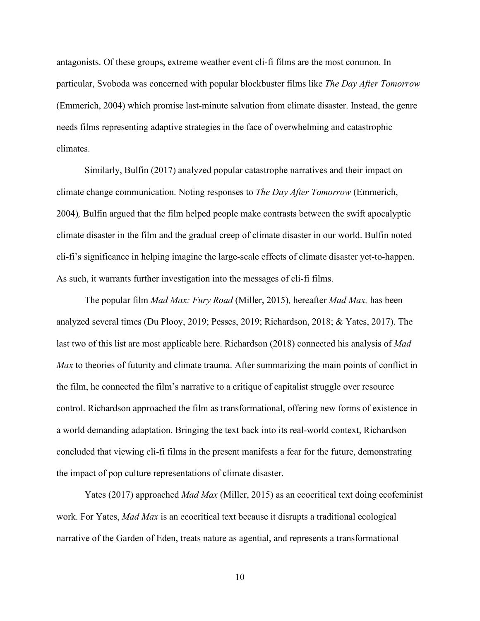antagonists. Of these groups, extreme weather event cli-fi films are the most common. In particular, Svoboda was concerned with popular blockbuster films like *The Day After Tomorrow*  (Emmerich, 2004) which promise last-minute salvation from climate disaster. Instead, the genre needs films representing adaptive strategies in the face of overwhelming and catastrophic climates.

Similarly, Bulfin (2017) analyzed popular catastrophe narratives and their impact on climate change communication. Noting responses to *The Day After Tomorrow* (Emmerich, 2004)*,* Bulfin argued that the film helped people make contrasts between the swift apocalyptic climate disaster in the film and the gradual creep of climate disaster in our world. Bulfin noted cli-fi's significance in helping imagine the large-scale effects of climate disaster yet-to-happen. As such, it warrants further investigation into the messages of cli-fi films.

The popular film *Mad Max: Fury Road* (Miller, 2015)*,* hereafter *Mad Max,* has been analyzed several times (Du Plooy, 2019; Pesses, 2019; Richardson, 2018; & Yates, 2017). The last two of this list are most applicable here. Richardson (2018) connected his analysis of *Mad Max* to theories of futurity and climate trauma. After summarizing the main points of conflict in the film, he connected the film's narrative to a critique of capitalist struggle over resource control. Richardson approached the film as transformational, offering new forms of existence in a world demanding adaptation. Bringing the text back into its real-world context, Richardson concluded that viewing cli-fi films in the present manifests a fear for the future, demonstrating the impact of pop culture representations of climate disaster.

Yates (2017) approached *Mad Max* (Miller, 2015) as an ecocritical text doing ecofeminist work. For Yates, *Mad Max* is an ecocritical text because it disrupts a traditional ecological narrative of the Garden of Eden, treats nature as agential, and represents a transformational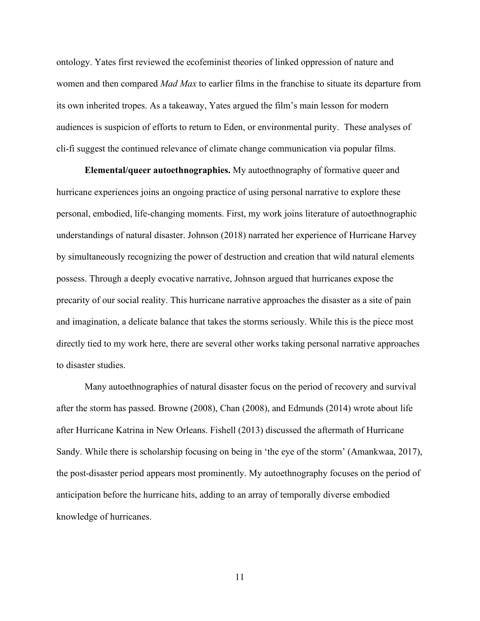ontology. Yates first reviewed the ecofeminist theories of linked oppression of nature and women and then compared *Mad Max* to earlier films in the franchise to situate its departure from its own inherited tropes. As a takeaway, Yates argued the film's main lesson for modern audiences is suspicion of efforts to return to Eden, or environmental purity. These analyses of cli-fi suggest the continued relevance of climate change communication via popular films.

**Elemental/queer autoethnographies.** My autoethnography of formative queer and hurricane experiences joins an ongoing practice of using personal narrative to explore these personal, embodied, life-changing moments. First, my work joins literature of autoethnographic understandings of natural disaster. Johnson (2018) narrated her experience of Hurricane Harvey by simultaneously recognizing the power of destruction and creation that wild natural elements possess. Through a deeply evocative narrative, Johnson argued that hurricanes expose the precarity of our social reality. This hurricane narrative approaches the disaster as a site of pain and imagination, a delicate balance that takes the storms seriously. While this is the piece most directly tied to my work here, there are several other works taking personal narrative approaches to disaster studies.

Many autoethnographies of natural disaster focus on the period of recovery and survival after the storm has passed. Browne (2008), Chan (2008), and Edmunds (2014) wrote about life after Hurricane Katrina in New Orleans. Fishell (2013) discussed the aftermath of Hurricane Sandy. While there is scholarship focusing on being in 'the eye of the storm' (Amankwaa, 2017), the post-disaster period appears most prominently. My autoethnography focuses on the period of anticipation before the hurricane hits, adding to an array of temporally diverse embodied knowledge of hurricanes.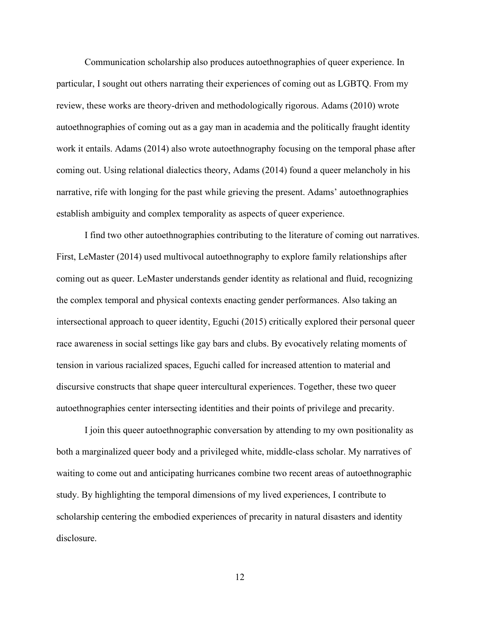Communication scholarship also produces autoethnographies of queer experience. In particular, I sought out others narrating their experiences of coming out as LGBTQ. From my review, these works are theory-driven and methodologically rigorous. Adams (2010) wrote autoethnographies of coming out as a gay man in academia and the politically fraught identity work it entails. Adams (2014) also wrote autoethnography focusing on the temporal phase after coming out. Using relational dialectics theory, Adams (2014) found a queer melancholy in his narrative, rife with longing for the past while grieving the present. Adams' autoethnographies establish ambiguity and complex temporality as aspects of queer experience.

I find two other autoethnographies contributing to the literature of coming out narratives. First, LeMaster (2014) used multivocal autoethnography to explore family relationships after coming out as queer. LeMaster understands gender identity as relational and fluid, recognizing the complex temporal and physical contexts enacting gender performances. Also taking an intersectional approach to queer identity, Eguchi (2015) critically explored their personal queer race awareness in social settings like gay bars and clubs. By evocatively relating moments of tension in various racialized spaces, Eguchi called for increased attention to material and discursive constructs that shape queer intercultural experiences. Together, these two queer autoethnographies center intersecting identities and their points of privilege and precarity.

I join this queer autoethnographic conversation by attending to my own positionality as both a marginalized queer body and a privileged white, middle-class scholar. My narratives of waiting to come out and anticipating hurricanes combine two recent areas of autoethnographic study. By highlighting the temporal dimensions of my lived experiences, I contribute to scholarship centering the embodied experiences of precarity in natural disasters and identity disclosure.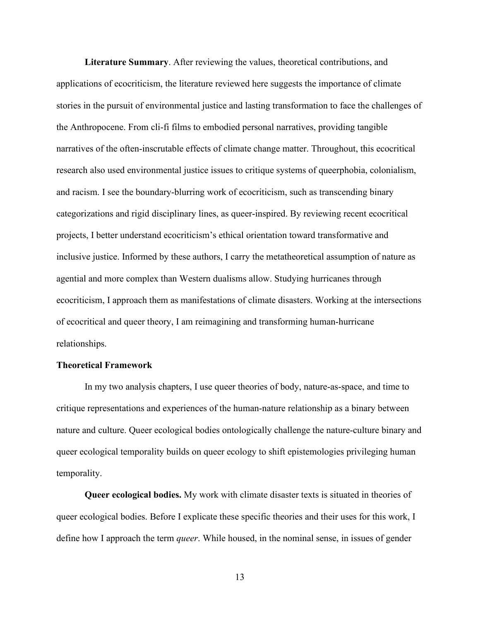**Literature Summary**. After reviewing the values, theoretical contributions, and applications of ecocriticism, the literature reviewed here suggests the importance of climate stories in the pursuit of environmental justice and lasting transformation to face the challenges of the Anthropocene. From cli-fi films to embodied personal narratives, providing tangible narratives of the often-inscrutable effects of climate change matter. Throughout, this ecocritical research also used environmental justice issues to critique systems of queerphobia, colonialism, and racism. I see the boundary-blurring work of ecocriticism, such as transcending binary categorizations and rigid disciplinary lines, as queer-inspired. By reviewing recent ecocritical projects, I better understand ecocriticism's ethical orientation toward transformative and inclusive justice. Informed by these authors, I carry the metatheoretical assumption of nature as agential and more complex than Western dualisms allow. Studying hurricanes through ecocriticism, I approach them as manifestations of climate disasters. Working at the intersections of ecocritical and queer theory, I am reimagining and transforming human-hurricane relationships.

## **Theoretical Framework**

In my two analysis chapters, I use queer theories of body, nature-as-space, and time to critique representations and experiences of the human-nature relationship as a binary between nature and culture. Queer ecological bodies ontologically challenge the nature-culture binary and queer ecological temporality builds on queer ecology to shift epistemologies privileging human temporality.

**Queer ecological bodies.** My work with climate disaster texts is situated in theories of queer ecological bodies. Before I explicate these specific theories and their uses for this work, I define how I approach the term *queer*. While housed, in the nominal sense, in issues of gender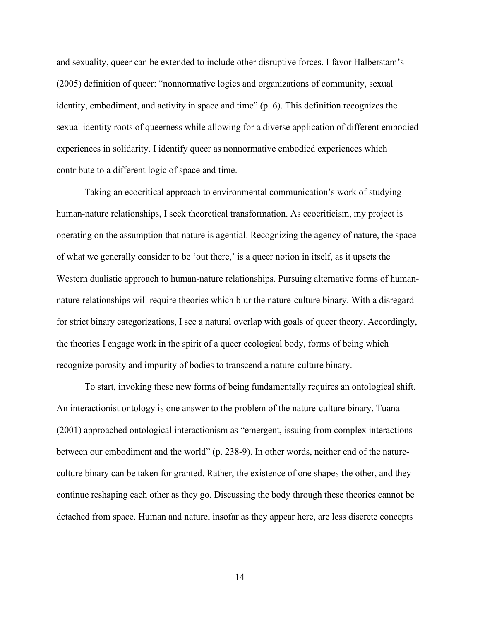and sexuality, queer can be extended to include other disruptive forces. I favor Halberstam's (2005) definition of queer: "nonnormative logics and organizations of community, sexual identity, embodiment, and activity in space and time" (p. 6). This definition recognizes the sexual identity roots of queerness while allowing for a diverse application of different embodied experiences in solidarity. I identify queer as nonnormative embodied experiences which contribute to a different logic of space and time.

Taking an ecocritical approach to environmental communication's work of studying human-nature relationships, I seek theoretical transformation. As ecocriticism, my project is operating on the assumption that nature is agential. Recognizing the agency of nature, the space of what we generally consider to be 'out there,' is a queer notion in itself, as it upsets the Western dualistic approach to human-nature relationships. Pursuing alternative forms of humannature relationships will require theories which blur the nature-culture binary. With a disregard for strict binary categorizations, I see a natural overlap with goals of queer theory. Accordingly, the theories I engage work in the spirit of a queer ecological body, forms of being which recognize porosity and impurity of bodies to transcend a nature-culture binary.

To start, invoking these new forms of being fundamentally requires an ontological shift. An interactionist ontology is one answer to the problem of the nature-culture binary. Tuana (2001) approached ontological interactionism as "emergent, issuing from complex interactions between our embodiment and the world" (p. 238-9). In other words, neither end of the natureculture binary can be taken for granted. Rather, the existence of one shapes the other, and they continue reshaping each other as they go. Discussing the body through these theories cannot be detached from space. Human and nature, insofar as they appear here, are less discrete concepts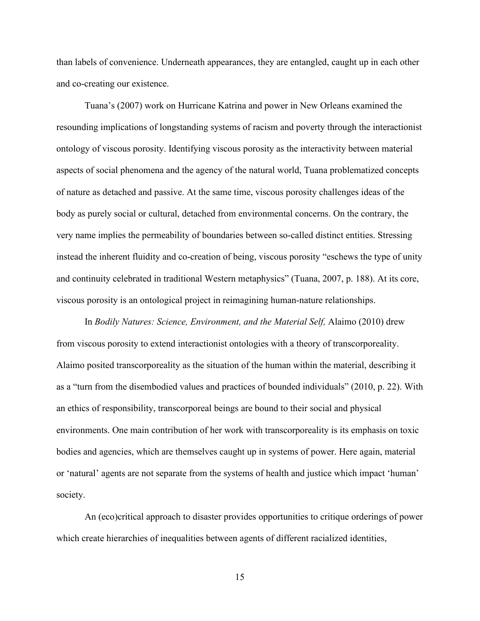than labels of convenience. Underneath appearances, they are entangled, caught up in each other and co-creating our existence.

Tuana's (2007) work on Hurricane Katrina and power in New Orleans examined the resounding implications of longstanding systems of racism and poverty through the interactionist ontology of viscous porosity. Identifying viscous porosity as the interactivity between material aspects of social phenomena and the agency of the natural world, Tuana problematized concepts of nature as detached and passive. At the same time, viscous porosity challenges ideas of the body as purely social or cultural, detached from environmental concerns. On the contrary, the very name implies the permeability of boundaries between so-called distinct entities. Stressing instead the inherent fluidity and co-creation of being, viscous porosity "eschews the type of unity and continuity celebrated in traditional Western metaphysics" (Tuana, 2007, p. 188). At its core, viscous porosity is an ontological project in reimagining human-nature relationships.

In *Bodily Natures: Science, Environment, and the Material Self,* Alaimo (2010) drew from viscous porosity to extend interactionist ontologies with a theory of transcorporeality. Alaimo posited transcorporeality as the situation of the human within the material, describing it as a "turn from the disembodied values and practices of bounded individuals" (2010, p. 22). With an ethics of responsibility, transcorporeal beings are bound to their social and physical environments. One main contribution of her work with transcorporeality is its emphasis on toxic bodies and agencies, which are themselves caught up in systems of power. Here again, material or 'natural' agents are not separate from the systems of health and justice which impact 'human' society.

An (eco)critical approach to disaster provides opportunities to critique orderings of power which create hierarchies of inequalities between agents of different racialized identities,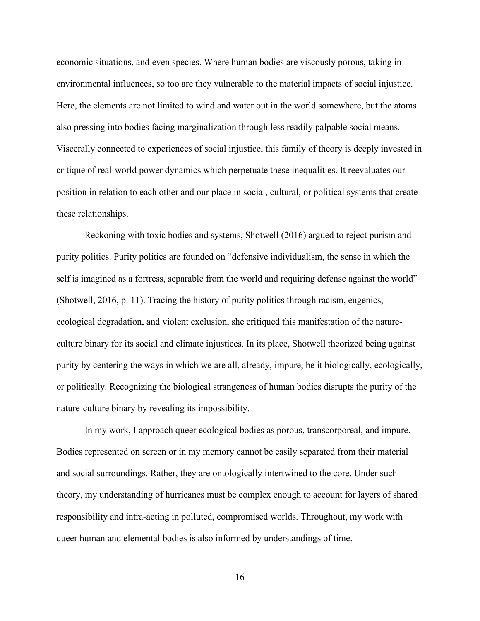economic situations, and even species. Where human bodies are viscously porous, taking in environmental influences, so too are they vulnerable to the material impacts of social injustice. Here, the elements are not limited to wind and water out in the world somewhere, but the atoms also pressing into bodies facing marginalization through less readily palpable social means. Viscerally connected to experiences of social injustice, this family of theory is deeply invested in critique of real-world power dynamics which perpetuate these inequalities. It reevaluates our position in relation to each other and our place in social, cultural, or political systems that create these relationships.

Reckoning with toxic bodies and systems, Shotwell (2016) argued to reject purism and purity politics. Purity politics are founded on "defensive individualism, the sense in which the self is imagined as a fortress, separable from the world and requiring defense against the world" (Shotwell, 2016, p. 11). Tracing the history of purity politics through racism, eugenics, ecological degradation, and violent exclusion, she critiqued this manifestation of the natureculture binary for its social and climate injustices. In its place, Shotwell theorized being against purity by centering the ways in which we are all, already, impure, be it biologically, ecologically, or politically. Recognizing the biological strangeness of human bodies disrupts the purity of the nature-culture binary by revealing its impossibility.

In my work, I approach queer ecological bodies as porous, transcorporeal, and impure. Bodies represented on screen or in my memory cannot be easily separated from their material and social surroundings. Rather, they are ontologically intertwined to the core. Under such theory, my understanding of hurricanes must be complex enough to account for layers of shared responsibility and intra-acting in polluted, compromised worlds. Throughout, my work with queer human and elemental bodies is also informed by understandings of time.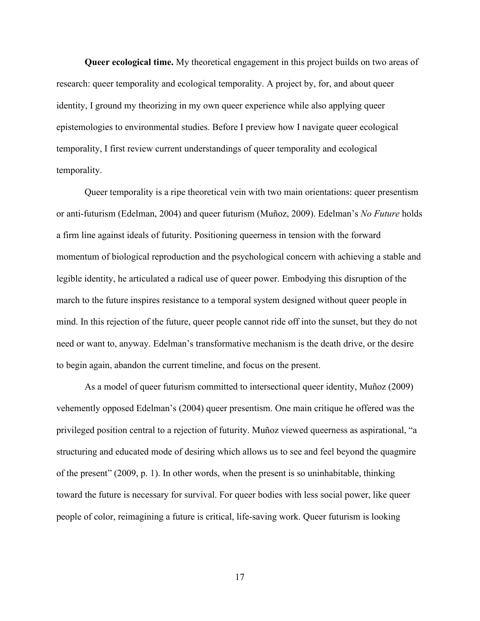**Queer ecological time.** My theoretical engagement in this project builds on two areas of research: queer temporality and ecological temporality. A project by, for, and about queer identity, I ground my theorizing in my own queer experience while also applying queer epistemologies to environmental studies. Before I preview how I navigate queer ecological temporality, I first review current understandings of queer temporality and ecological temporality.

Queer temporality is a ripe theoretical vein with two main orientations: queer presentism or anti-futurism (Edelman, 2004) and queer futurism (Muñoz, 2009). Edelman's *No Future* holds a firm line against ideals of futurity. Positioning queerness in tension with the forward momentum of biological reproduction and the psychological concern with achieving a stable and legible identity, he articulated a radical use of queer power. Embodying this disruption of the march to the future inspires resistance to a temporal system designed without queer people in mind. In this rejection of the future, queer people cannot ride off into the sunset, but they do not need or want to, anyway. Edelman's transformative mechanism is the death drive, or the desire to begin again, abandon the current timeline, and focus on the present.

As a model of queer futurism committed to intersectional queer identity, Muñoz (2009) vehemently opposed Edelman's (2004) queer presentism. One main critique he offered was the privileged position central to a rejection of futurity. Muñoz viewed queerness as aspirational, "a structuring and educated mode of desiring which allows us to see and feel beyond the quagmire of the present" (2009, p. 1). In other words, when the present is so uninhabitable, thinking toward the future is necessary for survival. For queer bodies with less social power, like queer people of color, reimagining a future is critical, life-saving work. Queer futurism is looking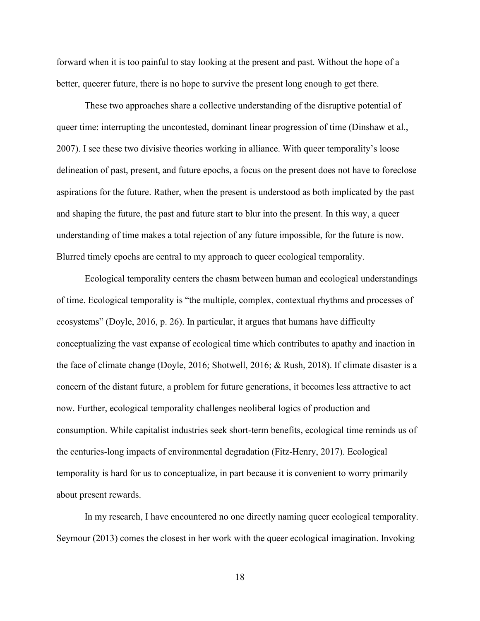forward when it is too painful to stay looking at the present and past. Without the hope of a better, queerer future, there is no hope to survive the present long enough to get there.

These two approaches share a collective understanding of the disruptive potential of queer time: interrupting the uncontested, dominant linear progression of time (Dinshaw et al., 2007). I see these two divisive theories working in alliance. With queer temporality's loose delineation of past, present, and future epochs, a focus on the present does not have to foreclose aspirations for the future. Rather, when the present is understood as both implicated by the past and shaping the future, the past and future start to blur into the present. In this way, a queer understanding of time makes a total rejection of any future impossible, for the future is now. Blurred timely epochs are central to my approach to queer ecological temporality.

Ecological temporality centers the chasm between human and ecological understandings of time. Ecological temporality is "the multiple, complex, contextual rhythms and processes of ecosystems" (Doyle, 2016, p. 26). In particular, it argues that humans have difficulty conceptualizing the vast expanse of ecological time which contributes to apathy and inaction in the face of climate change (Doyle, 2016; Shotwell, 2016; & Rush, 2018). If climate disaster is a concern of the distant future, a problem for future generations, it becomes less attractive to act now. Further, ecological temporality challenges neoliberal logics of production and consumption. While capitalist industries seek short-term benefits, ecological time reminds us of the centuries-long impacts of environmental degradation (Fitz-Henry, 2017). Ecological temporality is hard for us to conceptualize, in part because it is convenient to worry primarily about present rewards.

In my research, I have encountered no one directly naming queer ecological temporality. Seymour (2013) comes the closest in her work with the queer ecological imagination. Invoking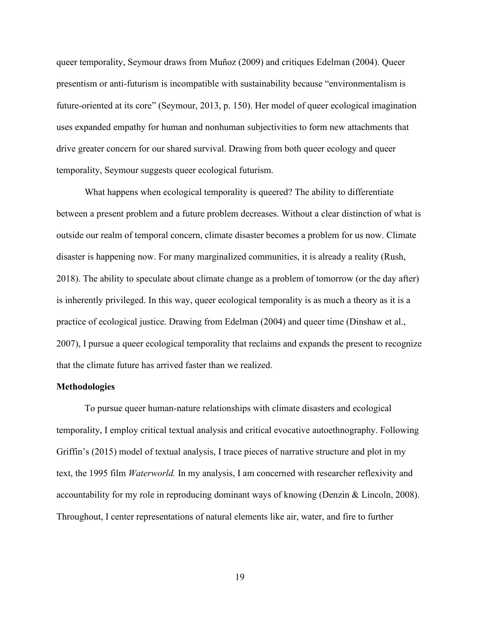queer temporality, Seymour draws from Muñoz (2009) and critiques Edelman (2004). Queer presentism or anti-futurism is incompatible with sustainability because "environmentalism is future-oriented at its core" (Seymour, 2013, p. 150). Her model of queer ecological imagination uses expanded empathy for human and nonhuman subjectivities to form new attachments that drive greater concern for our shared survival. Drawing from both queer ecology and queer temporality, Seymour suggests queer ecological futurism.

What happens when ecological temporality is queered? The ability to differentiate between a present problem and a future problem decreases. Without a clear distinction of what is outside our realm of temporal concern, climate disaster becomes a problem for us now. Climate disaster is happening now. For many marginalized communities, it is already a reality (Rush, 2018). The ability to speculate about climate change as a problem of tomorrow (or the day after) is inherently privileged. In this way, queer ecological temporality is as much a theory as it is a practice of ecological justice. Drawing from Edelman (2004) and queer time (Dinshaw et al., 2007), I pursue a queer ecological temporality that reclaims and expands the present to recognize that the climate future has arrived faster than we realized.

## **Methodologies**

To pursue queer human-nature relationships with climate disasters and ecological temporality, I employ critical textual analysis and critical evocative autoethnography. Following Griffin's (2015) model of textual analysis, I trace pieces of narrative structure and plot in my text, the 1995 film *Waterworld.* In my analysis, I am concerned with researcher reflexivity and accountability for my role in reproducing dominant ways of knowing (Denzin & Lincoln, 2008). Throughout, I center representations of natural elements like air, water, and fire to further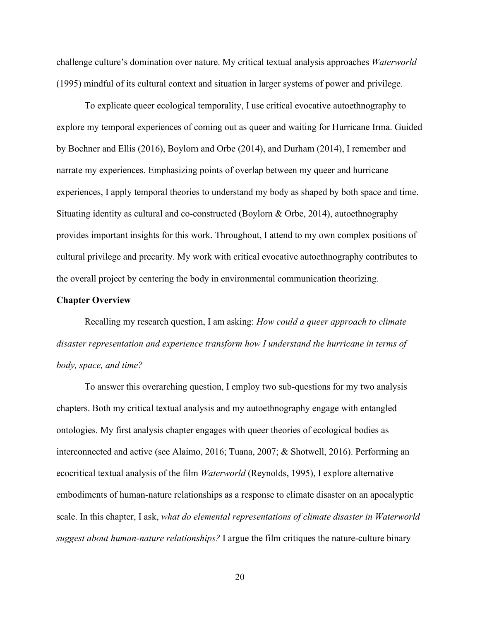challenge culture's domination over nature. My critical textual analysis approaches *Waterworld*  (1995) mindful of its cultural context and situation in larger systems of power and privilege.

To explicate queer ecological temporality, I use critical evocative autoethnography to explore my temporal experiences of coming out as queer and waiting for Hurricane Irma. Guided by Bochner and Ellis (2016), Boylorn and Orbe (2014), and Durham (2014), I remember and narrate my experiences. Emphasizing points of overlap between my queer and hurricane experiences, I apply temporal theories to understand my body as shaped by both space and time. Situating identity as cultural and co-constructed (Boylorn & Orbe, 2014), autoethnography provides important insights for this work. Throughout, I attend to my own complex positions of cultural privilege and precarity. My work with critical evocative autoethnography contributes to the overall project by centering the body in environmental communication theorizing.

### **Chapter Overview**

Recalling my research question, I am asking: *How could a queer approach to climate disaster representation and experience transform how I understand the hurricane in terms of body, space, and time?*

To answer this overarching question, I employ two sub-questions for my two analysis chapters. Both my critical textual analysis and my autoethnography engage with entangled ontologies. My first analysis chapter engages with queer theories of ecological bodies as interconnected and active (see Alaimo, 2016; Tuana, 2007; & Shotwell, 2016). Performing an ecocritical textual analysis of the film *Waterworld* (Reynolds, 1995), I explore alternative embodiments of human-nature relationships as a response to climate disaster on an apocalyptic scale. In this chapter, I ask, *what do elemental representations of climate disaster in Waterworld suggest about human-nature relationships?* I argue the film critiques the nature-culture binary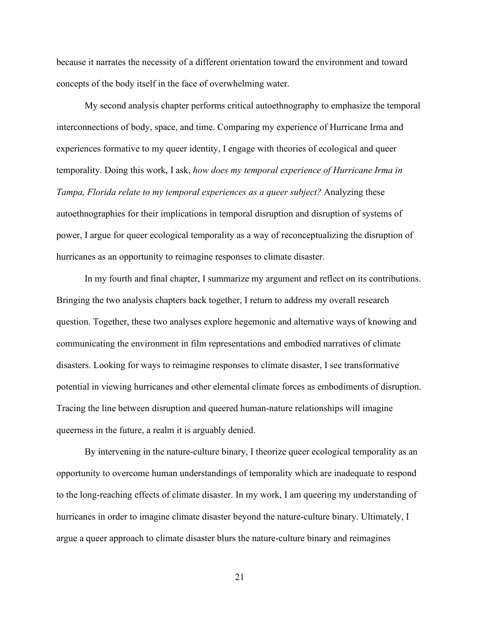because it narrates the necessity of a different orientation toward the environment and toward concepts of the body itself in the face of overwhelming water.

My second analysis chapter performs critical autoethnography to emphasize the temporal interconnections of body, space, and time. Comparing my experience of Hurricane Irma and experiences formative to my queer identity, I engage with theories of ecological and queer temporality. Doing this work, I ask, *how does my temporal experience of Hurricane Irma in Tampa, Florida relate to my temporal experiences as a queer subject?* Analyzing these autoethnographies for their implications in temporal disruption and disruption of systems of power, I argue for queer ecological temporality as a way of reconceptualizing the disruption of hurricanes as an opportunity to reimagine responses to climate disaster.

In my fourth and final chapter, I summarize my argument and reflect on its contributions. Bringing the two analysis chapters back together, I return to address my overall research question. Together, these two analyses explore hegemonic and alternative ways of knowing and communicating the environment in film representations and embodied narratives of climate disasters. Looking for ways to reimagine responses to climate disaster, I see transformative potential in viewing hurricanes and other elemental climate forces as embodiments of disruption. Tracing the line between disruption and queered human-nature relationships will imagine queerness in the future, a realm it is arguably denied.

By intervening in the nature-culture binary, I theorize queer ecological temporality as an opportunity to overcome human understandings of temporality which are inadequate to respond to the long-reaching effects of climate disaster. In my work, I am queering my understanding of hurricanes in order to imagine climate disaster beyond the nature-culture binary. Ultimately, I argue a queer approach to climate disaster blurs the nature-culture binary and reimagines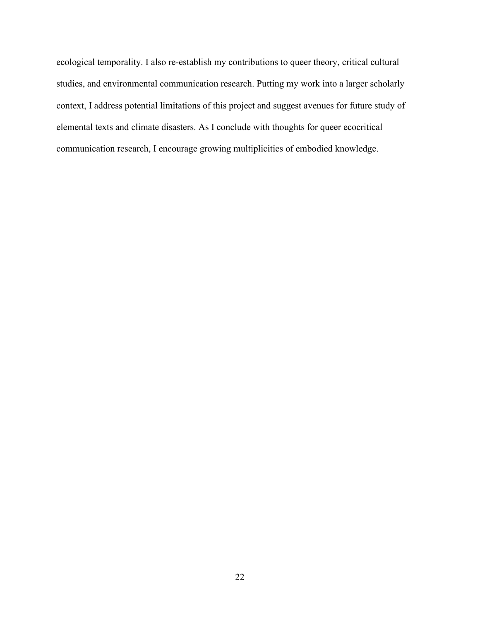ecological temporality. I also re-establish my contributions to queer theory, critical cultural studies, and environmental communication research. Putting my work into a larger scholarly context, I address potential limitations of this project and suggest avenues for future study of elemental texts and climate disasters. As I conclude with thoughts for queer ecocritical communication research, I encourage growing multiplicities of embodied knowledge.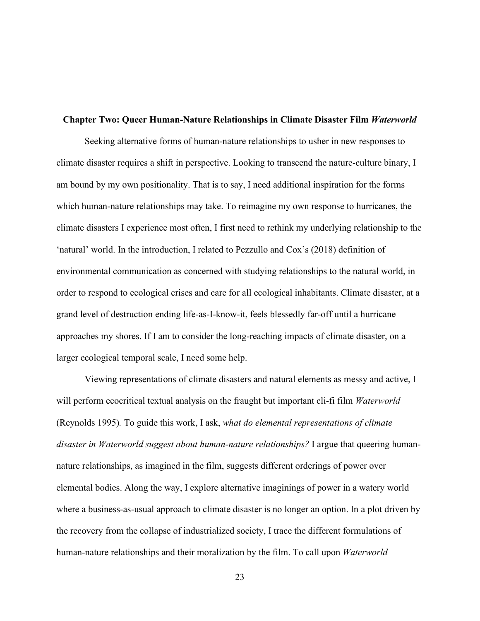#### **Chapter Two: Queer Human-Nature Relationships in Climate Disaster Film** *Waterworld*

Seeking alternative forms of human-nature relationships to usher in new responses to climate disaster requires a shift in perspective. Looking to transcend the nature-culture binary, I am bound by my own positionality. That is to say, I need additional inspiration for the forms which human-nature relationships may take. To reimagine my own response to hurricanes, the climate disasters I experience most often, I first need to rethink my underlying relationship to the 'natural' world. In the introduction, I related to Pezzullo and Cox's (2018) definition of environmental communication as concerned with studying relationships to the natural world, in order to respond to ecological crises and care for all ecological inhabitants. Climate disaster, at a grand level of destruction ending life-as-I-know-it, feels blessedly far-off until a hurricane approaches my shores. If I am to consider the long-reaching impacts of climate disaster, on a larger ecological temporal scale, I need some help.

Viewing representations of climate disasters and natural elements as messy and active, I will perform ecocritical textual analysis on the fraught but important cli-fi film *Waterworld* (Reynolds 1995)*.* To guide this work, I ask, *what do elemental representations of climate disaster in Waterworld suggest about human-nature relationships?* I argue that queering humannature relationships, as imagined in the film, suggests different orderings of power over elemental bodies. Along the way, I explore alternative imaginings of power in a watery world where a business-as-usual approach to climate disaster is no longer an option. In a plot driven by the recovery from the collapse of industrialized society, I trace the different formulations of human-nature relationships and their moralization by the film. To call upon *Waterworld*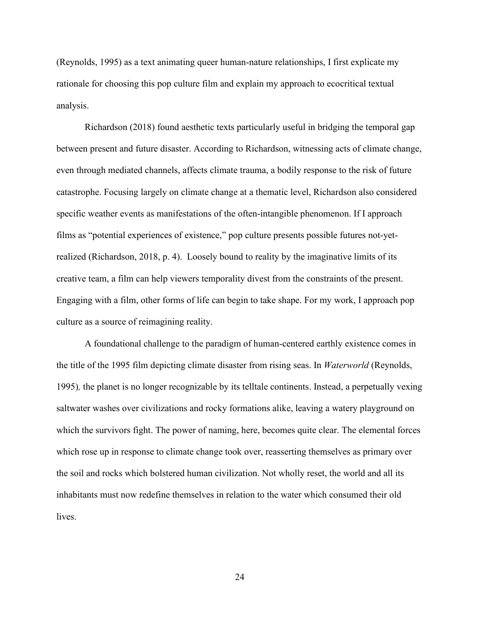(Reynolds, 1995) as a text animating queer human-nature relationships, I first explicate my rationale for choosing this pop culture film and explain my approach to ecocritical textual analysis.

Richardson (2018) found aesthetic texts particularly useful in bridging the temporal gap between present and future disaster. According to Richardson, witnessing acts of climate change, even through mediated channels, affects climate trauma, a bodily response to the risk of future catastrophe. Focusing largely on climate change at a thematic level, Richardson also considered specific weather events as manifestations of the often-intangible phenomenon. If I approach films as "potential experiences of existence," pop culture presents possible futures not-yetrealized (Richardson, 2018, p. 4). Loosely bound to reality by the imaginative limits of its creative team, a film can help viewers temporality divest from the constraints of the present. Engaging with a film, other forms of life can begin to take shape. For my work, I approach pop culture as a source of reimagining reality.

A foundational challenge to the paradigm of human-centered earthly existence comes in the title of the 1995 film depicting climate disaster from rising seas. In *Waterworld* (Reynolds, 1995)*,* the planet is no longer recognizable by its telltale continents. Instead, a perpetually vexing saltwater washes over civilizations and rocky formations alike, leaving a watery playground on which the survivors fight. The power of naming, here, becomes quite clear. The elemental forces which rose up in response to climate change took over, reasserting themselves as primary over the soil and rocks which bolstered human civilization. Not wholly reset, the world and all its inhabitants must now redefine themselves in relation to the water which consumed their old lives.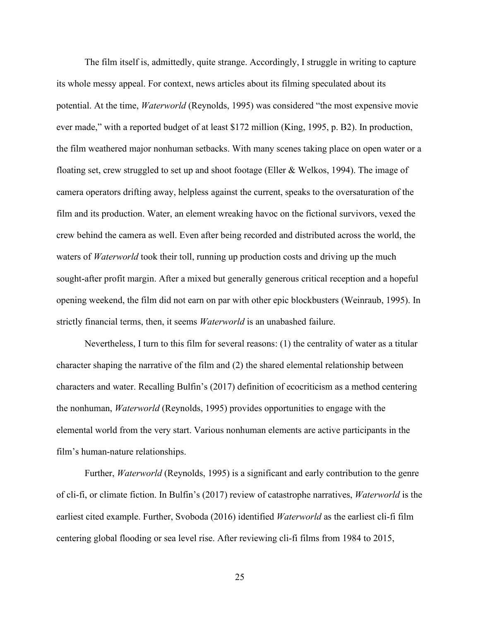The film itself is, admittedly, quite strange. Accordingly, I struggle in writing to capture its whole messy appeal. For context, news articles about its filming speculated about its potential. At the time, *Waterworld* (Reynolds, 1995) was considered "the most expensive movie ever made," with a reported budget of at least \$172 million (King, 1995, p. B2). In production, the film weathered major nonhuman setbacks. With many scenes taking place on open water or a floating set, crew struggled to set up and shoot footage (Eller & Welkos, 1994). The image of camera operators drifting away, helpless against the current, speaks to the oversaturation of the film and its production. Water, an element wreaking havoc on the fictional survivors, vexed the crew behind the camera as well. Even after being recorded and distributed across the world, the waters of *Waterworld* took their toll, running up production costs and driving up the much sought-after profit margin. After a mixed but generally generous critical reception and a hopeful opening weekend, the film did not earn on par with other epic blockbusters (Weinraub, 1995). In strictly financial terms, then, it seems *Waterworld* is an unabashed failure.

Nevertheless, I turn to this film for several reasons: (1) the centrality of water as a titular character shaping the narrative of the film and (2) the shared elemental relationship between characters and water. Recalling Bulfin's (2017) definition of ecocriticism as a method centering the nonhuman, *Waterworld* (Reynolds, 1995) provides opportunities to engage with the elemental world from the very start. Various nonhuman elements are active participants in the film's human-nature relationships.

Further, *Waterworld* (Reynolds, 1995) is a significant and early contribution to the genre of cli-fi, or climate fiction. In Bulfin's (2017) review of catastrophe narratives, *Waterworld* is the earliest cited example. Further, Svoboda (2016) identified *Waterworld* as the earliest cli-fi film centering global flooding or sea level rise. After reviewing cli-fi films from 1984 to 2015,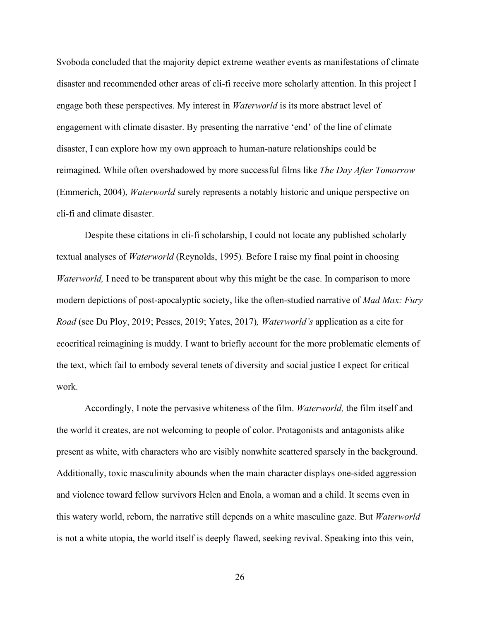Svoboda concluded that the majority depict extreme weather events as manifestations of climate disaster and recommended other areas of cli-fi receive more scholarly attention. In this project I engage both these perspectives. My interest in *Waterworld* is its more abstract level of engagement with climate disaster. By presenting the narrative 'end' of the line of climate disaster, I can explore how my own approach to human-nature relationships could be reimagined. While often overshadowed by more successful films like *The Day After Tomorrow*  (Emmerich, 2004), *Waterworld* surely represents a notably historic and unique perspective on cli-fi and climate disaster.

Despite these citations in cli-fi scholarship, I could not locate any published scholarly textual analyses of *Waterworld* (Reynolds, 1995)*.* Before I raise my final point in choosing *Waterworld*, I need to be transparent about why this might be the case. In comparison to more modern depictions of post-apocalyptic society, like the often-studied narrative of *Mad Max: Fury Road* (see Du Ploy, 2019; Pesses, 2019; Yates, 2017)*, Waterworld's* application as a cite for ecocritical reimagining is muddy. I want to briefly account for the more problematic elements of the text, which fail to embody several tenets of diversity and social justice I expect for critical work.

Accordingly, I note the pervasive whiteness of the film. *Waterworld,* the film itself and the world it creates, are not welcoming to people of color. Protagonists and antagonists alike present as white, with characters who are visibly nonwhite scattered sparsely in the background. Additionally, toxic masculinity abounds when the main character displays one-sided aggression and violence toward fellow survivors Helen and Enola, a woman and a child. It seems even in this watery world, reborn, the narrative still depends on a white masculine gaze. But *Waterworld*  is not a white utopia, the world itself is deeply flawed, seeking revival. Speaking into this vein,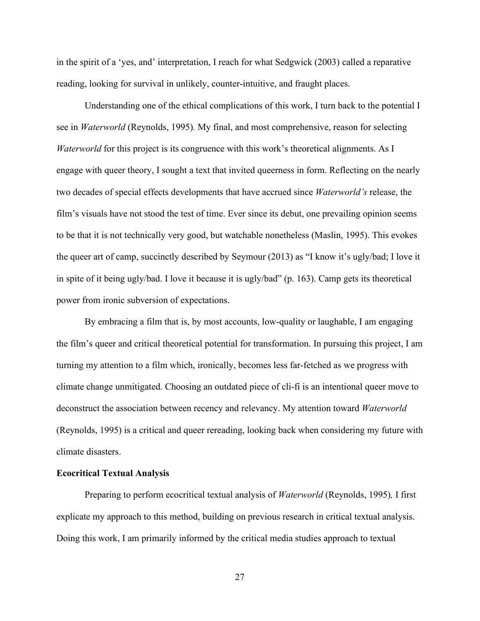in the spirit of a 'yes, and' interpretation, I reach for what Sedgwick (2003) called a reparative reading, looking for survival in unlikely, counter-intuitive, and fraught places.

Understanding one of the ethical complications of this work, I turn back to the potential I see in *Waterworld* (Reynolds, 1995)*.* My final, and most comprehensive, reason for selecting *Waterworld* for this project is its congruence with this work's theoretical alignments. As I engage with queer theory, I sought a text that invited queerness in form. Reflecting on the nearly two decades of special effects developments that have accrued since *Waterworld's* release, the film's visuals have not stood the test of time. Ever since its debut, one prevailing opinion seems to be that it is not technically very good, but watchable nonetheless (Maslin, 1995). This evokes the queer art of camp, succinctly described by Seymour (2013) as "I know it's ugly/bad; I love it in spite of it being ugly/bad. I love it because it is ugly/bad" (p. 163). Camp gets its theoretical power from ironic subversion of expectations.

By embracing a film that is, by most accounts, low-quality or laughable, I am engaging the film's queer and critical theoretical potential for transformation. In pursuing this project, I am turning my attention to a film which, ironically, becomes less far-fetched as we progress with climate change unmitigated. Choosing an outdated piece of cli-fi is an intentional queer move to deconstruct the association between recency and relevancy. My attention toward *Waterworld*  (Reynolds, 1995) is a critical and queer rereading, looking back when considering my future with climate disasters.

#### **Ecocritical Textual Analysis**

Preparing to perform ecocritical textual analysis of *Waterworld* (Reynolds, 1995)*,* I first explicate my approach to this method, building on previous research in critical textual analysis. Doing this work, I am primarily informed by the critical media studies approach to textual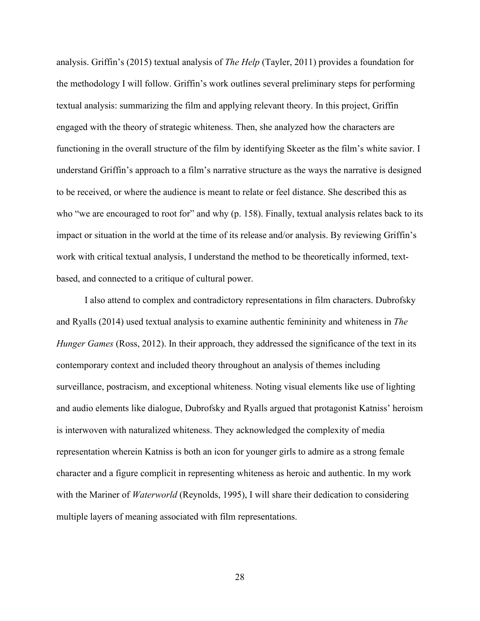analysis. Griffin's (2015) textual analysis of *The Help* (Tayler, 2011) provides a foundation for the methodology I will follow. Griffin's work outlines several preliminary steps for performing textual analysis: summarizing the film and applying relevant theory. In this project, Griffin engaged with the theory of strategic whiteness. Then, she analyzed how the characters are functioning in the overall structure of the film by identifying Skeeter as the film's white savior. I understand Griffin's approach to a film's narrative structure as the ways the narrative is designed to be received, or where the audience is meant to relate or feel distance. She described this as who "we are encouraged to root for" and why (p. 158). Finally, textual analysis relates back to its impact or situation in the world at the time of its release and/or analysis. By reviewing Griffin's work with critical textual analysis, I understand the method to be theoretically informed, textbased, and connected to a critique of cultural power.

I also attend to complex and contradictory representations in film characters. Dubrofsky and Ryalls (2014) used textual analysis to examine authentic femininity and whiteness in *The Hunger Games (Ross, 2012).* In their approach, they addressed the significance of the text in its contemporary context and included theory throughout an analysis of themes including surveillance, postracism, and exceptional whiteness. Noting visual elements like use of lighting and audio elements like dialogue, Dubrofsky and Ryalls argued that protagonist Katniss' heroism is interwoven with naturalized whiteness. They acknowledged the complexity of media representation wherein Katniss is both an icon for younger girls to admire as a strong female character and a figure complicit in representing whiteness as heroic and authentic. In my work with the Mariner of *Waterworld* (Reynolds, 1995), I will share their dedication to considering multiple layers of meaning associated with film representations.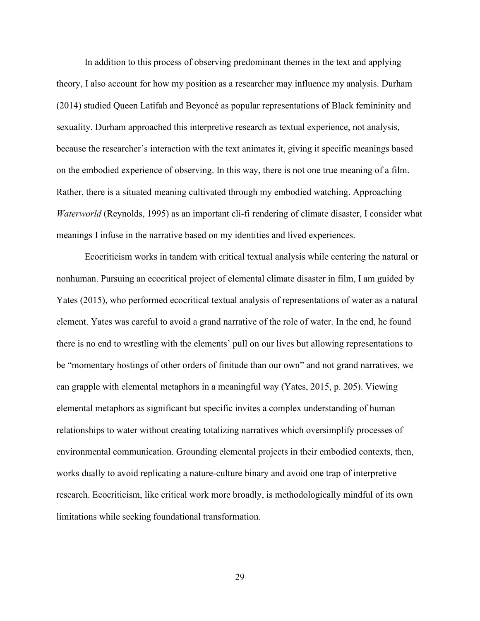In addition to this process of observing predominant themes in the text and applying theory, I also account for how my position as a researcher may influence my analysis. Durham (2014) studied Queen Latifah and Beyoncé as popular representations of Black femininity and sexuality. Durham approached this interpretive research as textual experience, not analysis, because the researcher's interaction with the text animates it, giving it specific meanings based on the embodied experience of observing. In this way, there is not one true meaning of a film. Rather, there is a situated meaning cultivated through my embodied watching. Approaching *Waterworld* (Reynolds, 1995) as an important cli-fi rendering of climate disaster, I consider what meanings I infuse in the narrative based on my identities and lived experiences.

Ecocriticism works in tandem with critical textual analysis while centering the natural or nonhuman. Pursuing an ecocritical project of elemental climate disaster in film, I am guided by Yates (2015), who performed ecocritical textual analysis of representations of water as a natural element. Yates was careful to avoid a grand narrative of the role of water. In the end, he found there is no end to wrestling with the elements' pull on our lives but allowing representations to be "momentary hostings of other orders of finitude than our own" and not grand narratives, we can grapple with elemental metaphors in a meaningful way (Yates, 2015, p. 205). Viewing elemental metaphors as significant but specific invites a complex understanding of human relationships to water without creating totalizing narratives which oversimplify processes of environmental communication. Grounding elemental projects in their embodied contexts, then, works dually to avoid replicating a nature-culture binary and avoid one trap of interpretive research. Ecocriticism, like critical work more broadly, is methodologically mindful of its own limitations while seeking foundational transformation.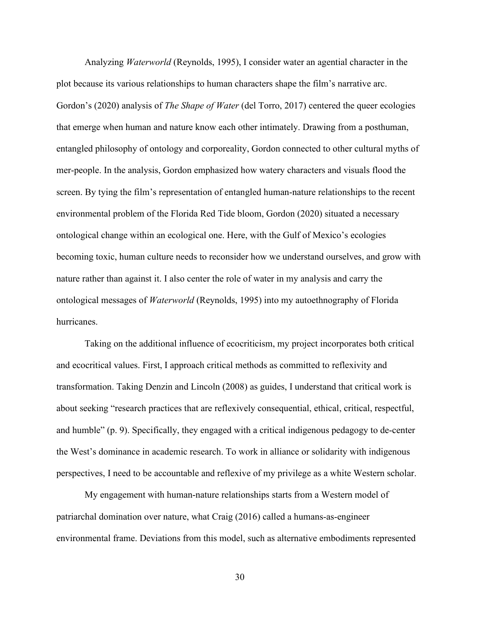Analyzing *Waterworld* (Reynolds, 1995), I consider water an agential character in the plot because its various relationships to human characters shape the film's narrative arc. Gordon's (2020) analysis of *The Shape of Water* (del Torro, 2017) centered the queer ecologies that emerge when human and nature know each other intimately. Drawing from a posthuman, entangled philosophy of ontology and corporeality, Gordon connected to other cultural myths of mer-people. In the analysis, Gordon emphasized how watery characters and visuals flood the screen. By tying the film's representation of entangled human-nature relationships to the recent environmental problem of the Florida Red Tide bloom, Gordon (2020) situated a necessary ontological change within an ecological one. Here, with the Gulf of Mexico's ecologies becoming toxic, human culture needs to reconsider how we understand ourselves, and grow with nature rather than against it. I also center the role of water in my analysis and carry the ontological messages of *Waterworld* (Reynolds, 1995) into my autoethnography of Florida hurricanes.

Taking on the additional influence of ecocriticism, my project incorporates both critical and ecocritical values. First, I approach critical methods as committed to reflexivity and transformation. Taking Denzin and Lincoln (2008) as guides, I understand that critical work is about seeking "research practices that are reflexively consequential, ethical, critical, respectful, and humble" (p. 9). Specifically, they engaged with a critical indigenous pedagogy to de-center the West's dominance in academic research. To work in alliance or solidarity with indigenous perspectives, I need to be accountable and reflexive of my privilege as a white Western scholar.

My engagement with human-nature relationships starts from a Western model of patriarchal domination over nature, what Craig (2016) called a humans-as-engineer environmental frame. Deviations from this model, such as alternative embodiments represented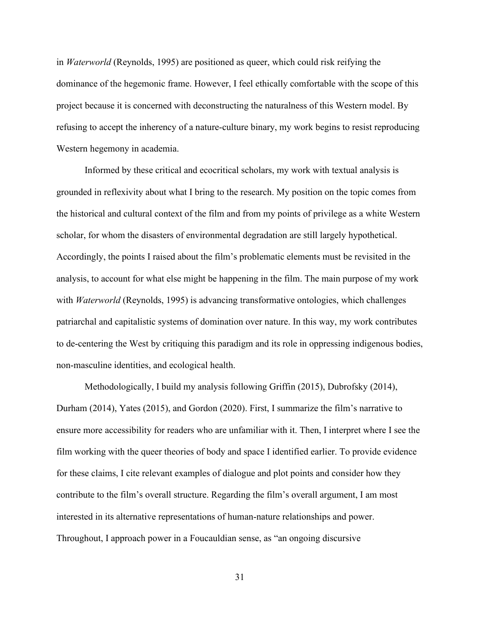in *Waterworld* (Reynolds, 1995) are positioned as queer, which could risk reifying the dominance of the hegemonic frame. However, I feel ethically comfortable with the scope of this project because it is concerned with deconstructing the naturalness of this Western model. By refusing to accept the inherency of a nature-culture binary, my work begins to resist reproducing Western hegemony in academia.

Informed by these critical and ecocritical scholars, my work with textual analysis is grounded in reflexivity about what I bring to the research. My position on the topic comes from the historical and cultural context of the film and from my points of privilege as a white Western scholar, for whom the disasters of environmental degradation are still largely hypothetical. Accordingly, the points I raised about the film's problematic elements must be revisited in the analysis, to account for what else might be happening in the film. The main purpose of my work with *Waterworld* (Reynolds, 1995) is advancing transformative ontologies, which challenges patriarchal and capitalistic systems of domination over nature. In this way, my work contributes to de-centering the West by critiquing this paradigm and its role in oppressing indigenous bodies, non-masculine identities, and ecological health.

Methodologically, I build my analysis following Griffin (2015), Dubrofsky (2014), Durham (2014), Yates (2015), and Gordon (2020). First, I summarize the film's narrative to ensure more accessibility for readers who are unfamiliar with it. Then, I interpret where I see the film working with the queer theories of body and space I identified earlier. To provide evidence for these claims, I cite relevant examples of dialogue and plot points and consider how they contribute to the film's overall structure. Regarding the film's overall argument, I am most interested in its alternative representations of human-nature relationships and power. Throughout, I approach power in a Foucauldian sense, as "an ongoing discursive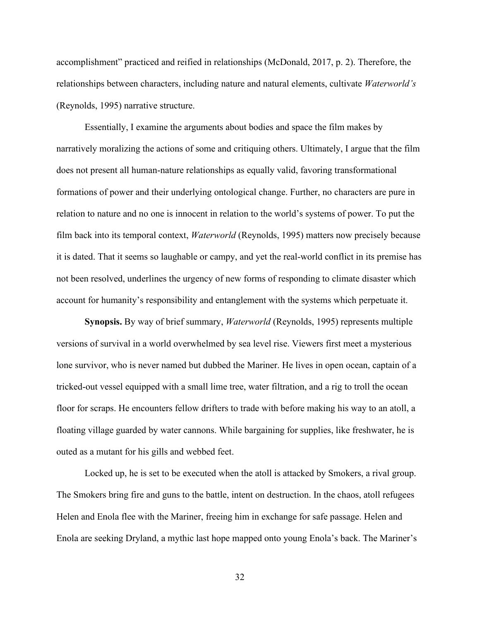accomplishment" practiced and reified in relationships (McDonald, 2017, p. 2). Therefore, the relationships between characters, including nature and natural elements, cultivate *Waterworld's*  (Reynolds, 1995) narrative structure.

Essentially, I examine the arguments about bodies and space the film makes by narratively moralizing the actions of some and critiquing others. Ultimately, I argue that the film does not present all human-nature relationships as equally valid, favoring transformational formations of power and their underlying ontological change. Further, no characters are pure in relation to nature and no one is innocent in relation to the world's systems of power. To put the film back into its temporal context, *Waterworld* (Reynolds, 1995) matters now precisely because it is dated. That it seems so laughable or campy, and yet the real-world conflict in its premise has not been resolved, underlines the urgency of new forms of responding to climate disaster which account for humanity's responsibility and entanglement with the systems which perpetuate it.

**Synopsis.** By way of brief summary, *Waterworld* (Reynolds, 1995) represents multiple versions of survival in a world overwhelmed by sea level rise. Viewers first meet a mysterious lone survivor, who is never named but dubbed the Mariner. He lives in open ocean, captain of a tricked-out vessel equipped with a small lime tree, water filtration, and a rig to troll the ocean floor for scraps. He encounters fellow drifters to trade with before making his way to an atoll, a floating village guarded by water cannons. While bargaining for supplies, like freshwater, he is outed as a mutant for his gills and webbed feet.

Locked up, he is set to be executed when the atoll is attacked by Smokers, a rival group. The Smokers bring fire and guns to the battle, intent on destruction. In the chaos, atoll refugees Helen and Enola flee with the Mariner, freeing him in exchange for safe passage. Helen and Enola are seeking Dryland, a mythic last hope mapped onto young Enola's back. The Mariner's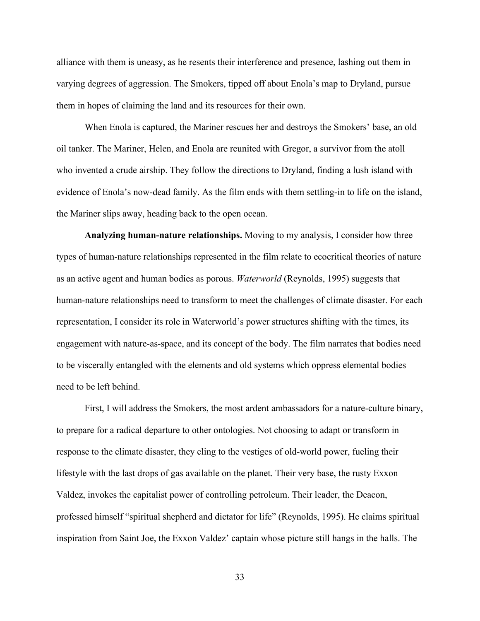alliance with them is uneasy, as he resents their interference and presence, lashing out them in varying degrees of aggression. The Smokers, tipped off about Enola's map to Dryland, pursue them in hopes of claiming the land and its resources for their own.

When Enola is captured, the Mariner rescues her and destroys the Smokers' base, an old oil tanker. The Mariner, Helen, and Enola are reunited with Gregor, a survivor from the atoll who invented a crude airship. They follow the directions to Dryland, finding a lush island with evidence of Enola's now-dead family. As the film ends with them settling-in to life on the island, the Mariner slips away, heading back to the open ocean.

**Analyzing human-nature relationships.** Moving to my analysis, I consider how three types of human-nature relationships represented in the film relate to ecocritical theories of nature as an active agent and human bodies as porous. *Waterworld* (Reynolds, 1995) suggests that human-nature relationships need to transform to meet the challenges of climate disaster. For each representation, I consider its role in Waterworld's power structures shifting with the times, its engagement with nature-as-space, and its concept of the body. The film narrates that bodies need to be viscerally entangled with the elements and old systems which oppress elemental bodies need to be left behind.

First, I will address the Smokers, the most ardent ambassadors for a nature-culture binary, to prepare for a radical departure to other ontologies. Not choosing to adapt or transform in response to the climate disaster, they cling to the vestiges of old-world power, fueling their lifestyle with the last drops of gas available on the planet. Their very base, the rusty Exxon Valdez, invokes the capitalist power of controlling petroleum. Their leader, the Deacon, professed himself "spiritual shepherd and dictator for life" (Reynolds, 1995). He claims spiritual inspiration from Saint Joe, the Exxon Valdez' captain whose picture still hangs in the halls. The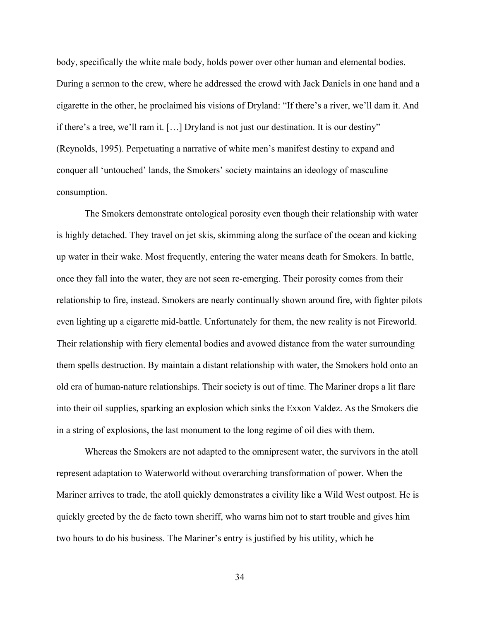body, specifically the white male body, holds power over other human and elemental bodies. During a sermon to the crew, where he addressed the crowd with Jack Daniels in one hand and a cigarette in the other, he proclaimed his visions of Dryland: "If there's a river, we'll dam it. And if there's a tree, we'll ram it. […] Dryland is not just our destination. It is our destiny" (Reynolds, 1995). Perpetuating a narrative of white men's manifest destiny to expand and conquer all 'untouched' lands, the Smokers' society maintains an ideology of masculine consumption.

The Smokers demonstrate ontological porosity even though their relationship with water is highly detached. They travel on jet skis, skimming along the surface of the ocean and kicking up water in their wake. Most frequently, entering the water means death for Smokers. In battle, once they fall into the water, they are not seen re-emerging. Their porosity comes from their relationship to fire, instead. Smokers are nearly continually shown around fire, with fighter pilots even lighting up a cigarette mid-battle. Unfortunately for them, the new reality is not Fireworld. Their relationship with fiery elemental bodies and avowed distance from the water surrounding them spells destruction. By maintain a distant relationship with water, the Smokers hold onto an old era of human-nature relationships. Their society is out of time. The Mariner drops a lit flare into their oil supplies, sparking an explosion which sinks the Exxon Valdez. As the Smokers die in a string of explosions, the last monument to the long regime of oil dies with them.

Whereas the Smokers are not adapted to the omnipresent water, the survivors in the atoll represent adaptation to Waterworld without overarching transformation of power. When the Mariner arrives to trade, the atoll quickly demonstrates a civility like a Wild West outpost. He is quickly greeted by the de facto town sheriff, who warns him not to start trouble and gives him two hours to do his business. The Mariner's entry is justified by his utility, which he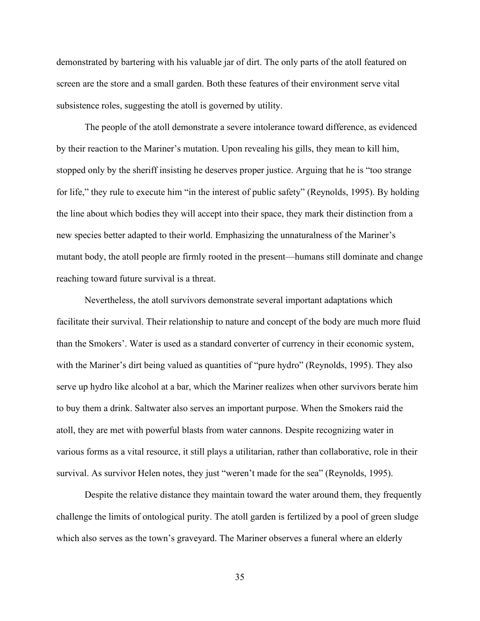demonstrated by bartering with his valuable jar of dirt. The only parts of the atoll featured on screen are the store and a small garden. Both these features of their environment serve vital subsistence roles, suggesting the atoll is governed by utility.

The people of the atoll demonstrate a severe intolerance toward difference, as evidenced by their reaction to the Mariner's mutation. Upon revealing his gills, they mean to kill him, stopped only by the sheriff insisting he deserves proper justice. Arguing that he is "too strange for life," they rule to execute him "in the interest of public safety" (Reynolds, 1995). By holding the line about which bodies they will accept into their space, they mark their distinction from a new species better adapted to their world. Emphasizing the unnaturalness of the Mariner's mutant body, the atoll people are firmly rooted in the present—humans still dominate and change reaching toward future survival is a threat.

Nevertheless, the atoll survivors demonstrate several important adaptations which facilitate their survival. Their relationship to nature and concept of the body are much more fluid than the Smokers'. Water is used as a standard converter of currency in their economic system, with the Mariner's dirt being valued as quantities of "pure hydro" (Reynolds, 1995). They also serve up hydro like alcohol at a bar, which the Mariner realizes when other survivors berate him to buy them a drink. Saltwater also serves an important purpose. When the Smokers raid the atoll, they are met with powerful blasts from water cannons. Despite recognizing water in various forms as a vital resource, it still plays a utilitarian, rather than collaborative, role in their survival. As survivor Helen notes, they just "weren't made for the sea" (Reynolds, 1995).

Despite the relative distance they maintain toward the water around them, they frequently challenge the limits of ontological purity. The atoll garden is fertilized by a pool of green sludge which also serves as the town's graveyard. The Mariner observes a funeral where an elderly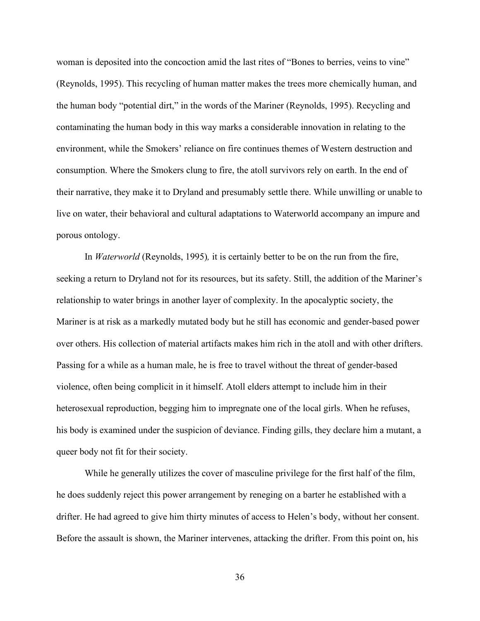woman is deposited into the concoction amid the last rites of "Bones to berries, veins to vine" (Reynolds, 1995). This recycling of human matter makes the trees more chemically human, and the human body "potential dirt," in the words of the Mariner (Reynolds, 1995). Recycling and contaminating the human body in this way marks a considerable innovation in relating to the environment, while the Smokers' reliance on fire continues themes of Western destruction and consumption. Where the Smokers clung to fire, the atoll survivors rely on earth. In the end of their narrative, they make it to Dryland and presumably settle there. While unwilling or unable to live on water, their behavioral and cultural adaptations to Waterworld accompany an impure and porous ontology.

In *Waterworld* (Reynolds, 1995)*,* it is certainly better to be on the run from the fire, seeking a return to Dryland not for its resources, but its safety. Still, the addition of the Mariner's relationship to water brings in another layer of complexity. In the apocalyptic society, the Mariner is at risk as a markedly mutated body but he still has economic and gender-based power over others. His collection of material artifacts makes him rich in the atoll and with other drifters. Passing for a while as a human male, he is free to travel without the threat of gender-based violence, often being complicit in it himself. Atoll elders attempt to include him in their heterosexual reproduction, begging him to impregnate one of the local girls. When he refuses, his body is examined under the suspicion of deviance. Finding gills, they declare him a mutant, a queer body not fit for their society.

While he generally utilizes the cover of masculine privilege for the first half of the film, he does suddenly reject this power arrangement by reneging on a barter he established with a drifter. He had agreed to give him thirty minutes of access to Helen's body, without her consent. Before the assault is shown, the Mariner intervenes, attacking the drifter. From this point on, his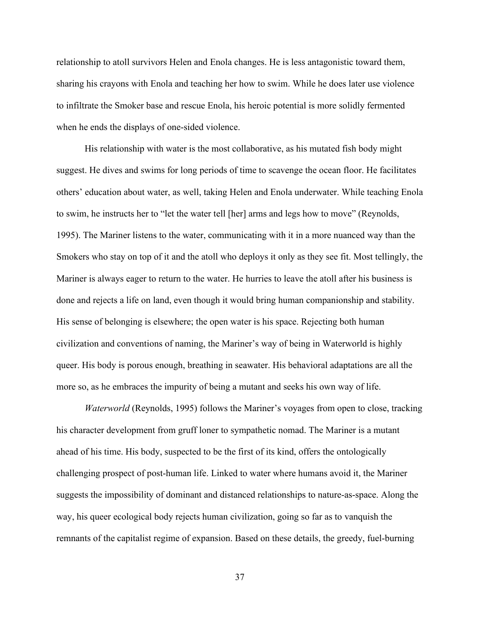relationship to atoll survivors Helen and Enola changes. He is less antagonistic toward them, sharing his crayons with Enola and teaching her how to swim. While he does later use violence to infiltrate the Smoker base and rescue Enola, his heroic potential is more solidly fermented when he ends the displays of one-sided violence.

His relationship with water is the most collaborative, as his mutated fish body might suggest. He dives and swims for long periods of time to scavenge the ocean floor. He facilitates others' education about water, as well, taking Helen and Enola underwater. While teaching Enola to swim, he instructs her to "let the water tell [her] arms and legs how to move" (Reynolds, 1995). The Mariner listens to the water, communicating with it in a more nuanced way than the Smokers who stay on top of it and the atoll who deploys it only as they see fit. Most tellingly, the Mariner is always eager to return to the water. He hurries to leave the atoll after his business is done and rejects a life on land, even though it would bring human companionship and stability. His sense of belonging is elsewhere; the open water is his space. Rejecting both human civilization and conventions of naming, the Mariner's way of being in Waterworld is highly queer. His body is porous enough, breathing in seawater. His behavioral adaptations are all the more so, as he embraces the impurity of being a mutant and seeks his own way of life.

*Waterworld* (Reynolds, 1995) follows the Mariner's voyages from open to close, tracking his character development from gruff loner to sympathetic nomad. The Mariner is a mutant ahead of his time. His body, suspected to be the first of its kind, offers the ontologically challenging prospect of post-human life. Linked to water where humans avoid it, the Mariner suggests the impossibility of dominant and distanced relationships to nature-as-space. Along the way, his queer ecological body rejects human civilization, going so far as to vanquish the remnants of the capitalist regime of expansion. Based on these details, the greedy, fuel-burning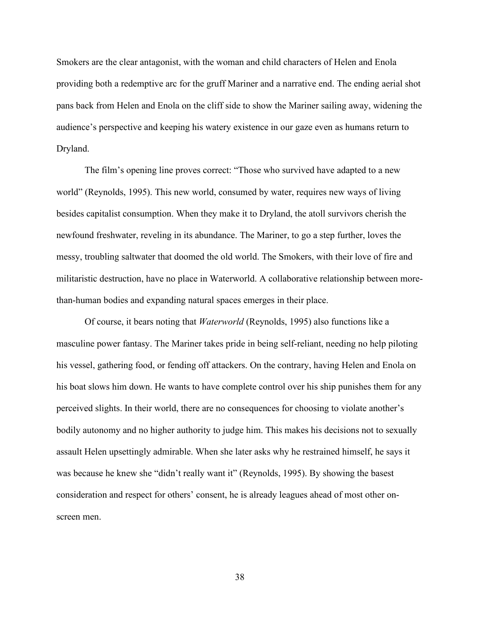Smokers are the clear antagonist, with the woman and child characters of Helen and Enola providing both a redemptive arc for the gruff Mariner and a narrative end. The ending aerial shot pans back from Helen and Enola on the cliff side to show the Mariner sailing away, widening the audience's perspective and keeping his watery existence in our gaze even as humans return to Dryland.

The film's opening line proves correct: "Those who survived have adapted to a new world" (Reynolds, 1995). This new world, consumed by water, requires new ways of living besides capitalist consumption. When they make it to Dryland, the atoll survivors cherish the newfound freshwater, reveling in its abundance. The Mariner, to go a step further, loves the messy, troubling saltwater that doomed the old world. The Smokers, with their love of fire and militaristic destruction, have no place in Waterworld. A collaborative relationship between morethan-human bodies and expanding natural spaces emerges in their place.

Of course, it bears noting that *Waterworld* (Reynolds, 1995) also functions like a masculine power fantasy. The Mariner takes pride in being self-reliant, needing no help piloting his vessel, gathering food, or fending off attackers. On the contrary, having Helen and Enola on his boat slows him down. He wants to have complete control over his ship punishes them for any perceived slights. In their world, there are no consequences for choosing to violate another's bodily autonomy and no higher authority to judge him. This makes his decisions not to sexually assault Helen upsettingly admirable. When she later asks why he restrained himself, he says it was because he knew she "didn't really want it" (Reynolds, 1995). By showing the basest consideration and respect for others' consent, he is already leagues ahead of most other onscreen men.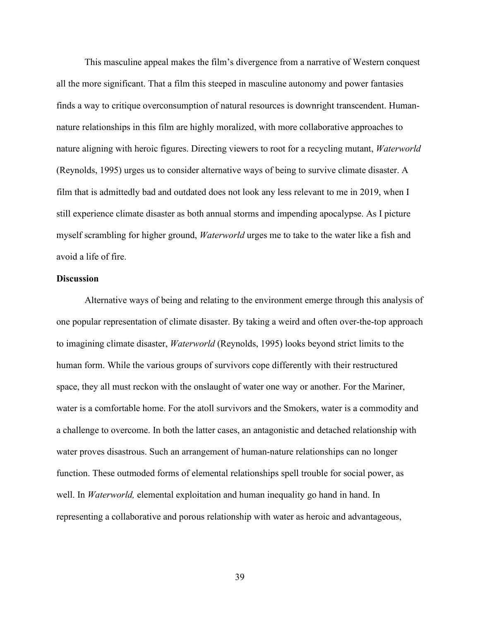This masculine appeal makes the film's divergence from a narrative of Western conquest all the more significant. That a film this steeped in masculine autonomy and power fantasies finds a way to critique overconsumption of natural resources is downright transcendent. Humannature relationships in this film are highly moralized, with more collaborative approaches to nature aligning with heroic figures. Directing viewers to root for a recycling mutant, *Waterworld* (Reynolds, 1995) urges us to consider alternative ways of being to survive climate disaster. A film that is admittedly bad and outdated does not look any less relevant to me in 2019, when I still experience climate disaster as both annual storms and impending apocalypse. As I picture myself scrambling for higher ground, *Waterworld* urges me to take to the water like a fish and avoid a life of fire.

### **Discussion**

Alternative ways of being and relating to the environment emerge through this analysis of one popular representation of climate disaster. By taking a weird and often over-the-top approach to imagining climate disaster, *Waterworld* (Reynolds, 1995) looks beyond strict limits to the human form. While the various groups of survivors cope differently with their restructured space, they all must reckon with the onslaught of water one way or another. For the Mariner, water is a comfortable home. For the atoll survivors and the Smokers, water is a commodity and a challenge to overcome. In both the latter cases, an antagonistic and detached relationship with water proves disastrous. Such an arrangement of human-nature relationships can no longer function. These outmoded forms of elemental relationships spell trouble for social power, as well. In *Waterworld,* elemental exploitation and human inequality go hand in hand. In representing a collaborative and porous relationship with water as heroic and advantageous,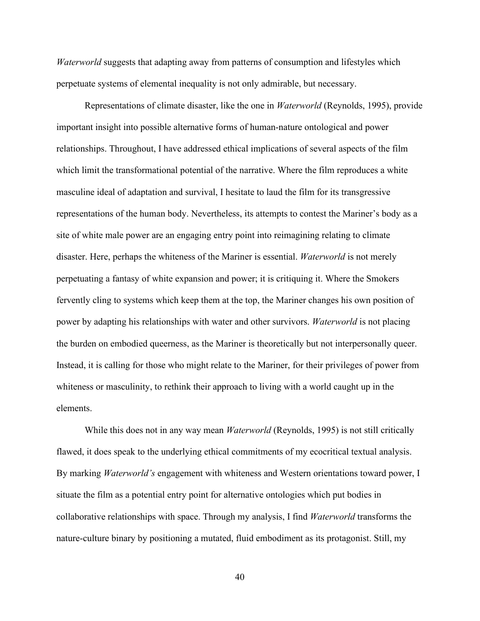*Waterworld* suggests that adapting away from patterns of consumption and lifestyles which perpetuate systems of elemental inequality is not only admirable, but necessary.

Representations of climate disaster, like the one in *Waterworld* (Reynolds, 1995), provide important insight into possible alternative forms of human-nature ontological and power relationships. Throughout, I have addressed ethical implications of several aspects of the film which limit the transformational potential of the narrative. Where the film reproduces a white masculine ideal of adaptation and survival, I hesitate to laud the film for its transgressive representations of the human body. Nevertheless, its attempts to contest the Mariner's body as a site of white male power are an engaging entry point into reimagining relating to climate disaster. Here, perhaps the whiteness of the Mariner is essential. *Waterworld* is not merely perpetuating a fantasy of white expansion and power; it is critiquing it. Where the Smokers fervently cling to systems which keep them at the top, the Mariner changes his own position of power by adapting his relationships with water and other survivors. *Waterworld* is not placing the burden on embodied queerness, as the Mariner is theoretically but not interpersonally queer. Instead, it is calling for those who might relate to the Mariner, for their privileges of power from whiteness or masculinity, to rethink their approach to living with a world caught up in the elements.

While this does not in any way mean *Waterworld* (Reynolds, 1995) is not still critically flawed, it does speak to the underlying ethical commitments of my ecocritical textual analysis. By marking *Waterworld's* engagement with whiteness and Western orientations toward power, I situate the film as a potential entry point for alternative ontologies which put bodies in collaborative relationships with space. Through my analysis, I find *Waterworld* transforms the nature-culture binary by positioning a mutated, fluid embodiment as its protagonist. Still, my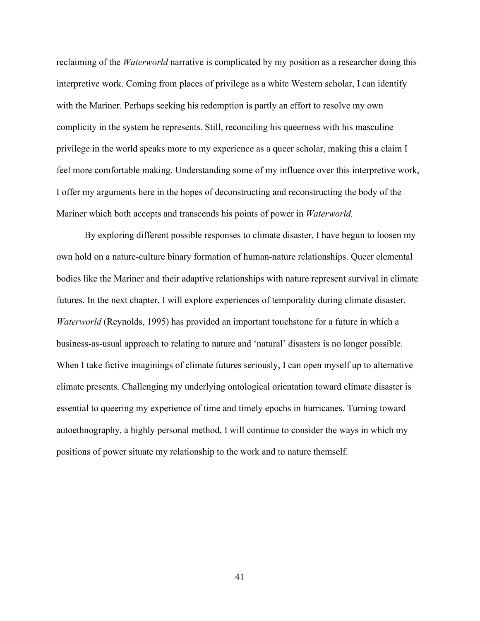reclaiming of the *Waterworld* narrative is complicated by my position as a researcher doing this interpretive work. Coming from places of privilege as a white Western scholar, I can identify with the Mariner. Perhaps seeking his redemption is partly an effort to resolve my own complicity in the system he represents. Still, reconciling his queerness with his masculine privilege in the world speaks more to my experience as a queer scholar, making this a claim I feel more comfortable making. Understanding some of my influence over this interpretive work, I offer my arguments here in the hopes of deconstructing and reconstructing the body of the Mariner which both accepts and transcends his points of power in *Waterworld.* 

By exploring different possible responses to climate disaster, I have begun to loosen my own hold on a nature-culture binary formation of human-nature relationships. Queer elemental bodies like the Mariner and their adaptive relationships with nature represent survival in climate futures. In the next chapter, I will explore experiences of temporality during climate disaster. *Waterworld* (Reynolds, 1995) has provided an important touchstone for a future in which a business-as-usual approach to relating to nature and 'natural' disasters is no longer possible. When I take fictive imaginings of climate futures seriously, I can open myself up to alternative climate presents. Challenging my underlying ontological orientation toward climate disaster is essential to queering my experience of time and timely epochs in hurricanes. Turning toward autoethnography, a highly personal method, I will continue to consider the ways in which my positions of power situate my relationship to the work and to nature themself.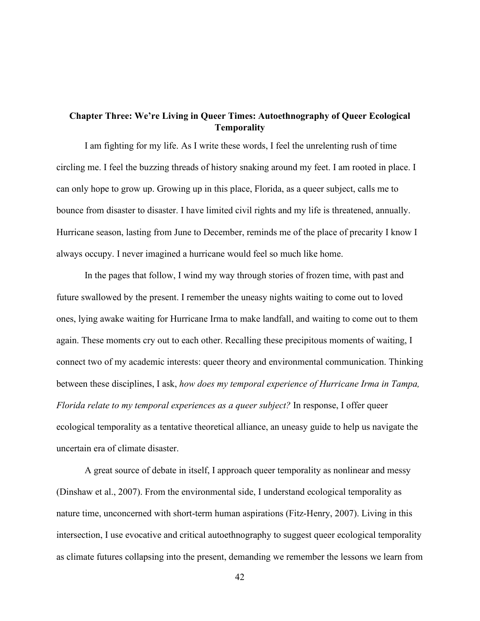# **Chapter Three: We're Living in Queer Times: Autoethnography of Queer Ecological Temporality**

I am fighting for my life. As I write these words, I feel the unrelenting rush of time circling me. I feel the buzzing threads of history snaking around my feet. I am rooted in place. I can only hope to grow up. Growing up in this place, Florida, as a queer subject, calls me to bounce from disaster to disaster. I have limited civil rights and my life is threatened, annually. Hurricane season, lasting from June to December, reminds me of the place of precarity I know I always occupy. I never imagined a hurricane would feel so much like home.

In the pages that follow, I wind my way through stories of frozen time, with past and future swallowed by the present. I remember the uneasy nights waiting to come out to loved ones, lying awake waiting for Hurricane Irma to make landfall, and waiting to come out to them again. These moments cry out to each other. Recalling these precipitous moments of waiting, I connect two of my academic interests: queer theory and environmental communication. Thinking between these disciplines, I ask, *how does my temporal experience of Hurricane Irma in Tampa, Florida relate to my temporal experiences as a queer subject?* In response, I offer queer ecological temporality as a tentative theoretical alliance, an uneasy guide to help us navigate the uncertain era of climate disaster.

A great source of debate in itself, I approach queer temporality as nonlinear and messy (Dinshaw et al., 2007). From the environmental side, I understand ecological temporality as nature time, unconcerned with short-term human aspirations (Fitz-Henry, 2007). Living in this intersection, I use evocative and critical autoethnography to suggest queer ecological temporality as climate futures collapsing into the present, demanding we remember the lessons we learn from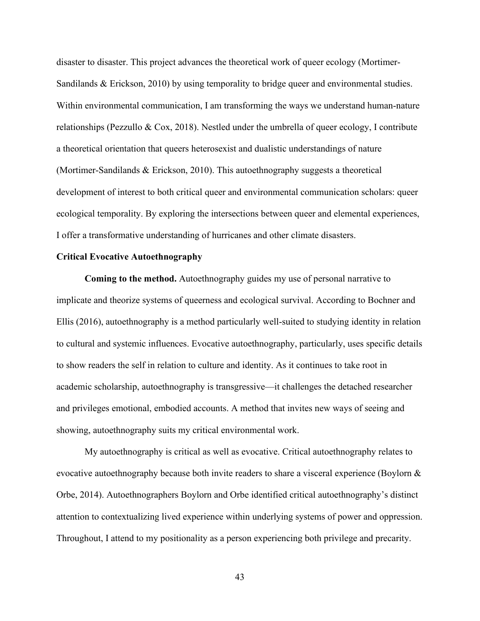disaster to disaster. This project advances the theoretical work of queer ecology (Mortimer-Sandilands & Erickson, 2010) by using temporality to bridge queer and environmental studies. Within environmental communication, I am transforming the ways we understand human-nature relationships (Pezzullo & Cox, 2018). Nestled under the umbrella of queer ecology, I contribute a theoretical orientation that queers heterosexist and dualistic understandings of nature (Mortimer-Sandilands & Erickson, 2010). This autoethnography suggests a theoretical development of interest to both critical queer and environmental communication scholars: queer ecological temporality. By exploring the intersections between queer and elemental experiences, I offer a transformative understanding of hurricanes and other climate disasters.

## **Critical Evocative Autoethnography**

**Coming to the method.** Autoethnography guides my use of personal narrative to implicate and theorize systems of queerness and ecological survival. According to Bochner and Ellis (2016), autoethnography is a method particularly well-suited to studying identity in relation to cultural and systemic influences. Evocative autoethnography, particularly, uses specific details to show readers the self in relation to culture and identity. As it continues to take root in academic scholarship, autoethnography is transgressive—it challenges the detached researcher and privileges emotional, embodied accounts. A method that invites new ways of seeing and showing, autoethnography suits my critical environmental work.

My autoethnography is critical as well as evocative. Critical autoethnography relates to evocative autoethnography because both invite readers to share a visceral experience (Boylorn & Orbe, 2014). Autoethnographers Boylorn and Orbe identified critical autoethnography's distinct attention to contextualizing lived experience within underlying systems of power and oppression. Throughout, I attend to my positionality as a person experiencing both privilege and precarity.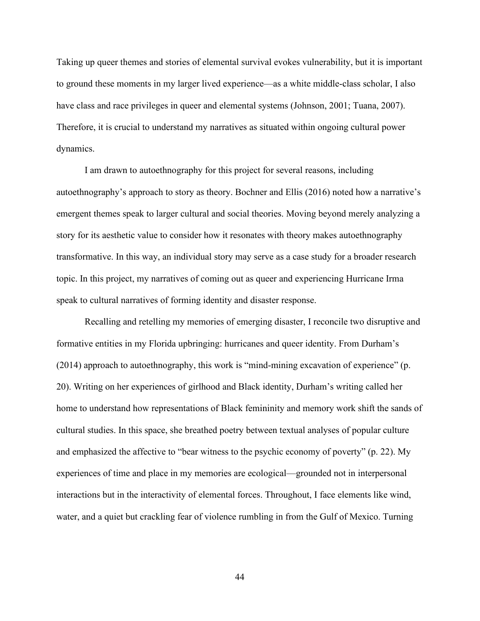Taking up queer themes and stories of elemental survival evokes vulnerability, but it is important to ground these moments in my larger lived experience—as a white middle-class scholar, I also have class and race privileges in queer and elemental systems (Johnson, 2001; Tuana, 2007). Therefore, it is crucial to understand my narratives as situated within ongoing cultural power dynamics.

I am drawn to autoethnography for this project for several reasons, including autoethnography's approach to story as theory. Bochner and Ellis (2016) noted how a narrative's emergent themes speak to larger cultural and social theories. Moving beyond merely analyzing a story for its aesthetic value to consider how it resonates with theory makes autoethnography transformative. In this way, an individual story may serve as a case study for a broader research topic. In this project, my narratives of coming out as queer and experiencing Hurricane Irma speak to cultural narratives of forming identity and disaster response.

Recalling and retelling my memories of emerging disaster, I reconcile two disruptive and formative entities in my Florida upbringing: hurricanes and queer identity. From Durham's (2014) approach to autoethnography, this work is "mind-mining excavation of experience" (p. 20). Writing on her experiences of girlhood and Black identity, Durham's writing called her home to understand how representations of Black femininity and memory work shift the sands of cultural studies. In this space, she breathed poetry between textual analyses of popular culture and emphasized the affective to "bear witness to the psychic economy of poverty" (p. 22). My experiences of time and place in my memories are ecological—grounded not in interpersonal interactions but in the interactivity of elemental forces. Throughout, I face elements like wind, water, and a quiet but crackling fear of violence rumbling in from the Gulf of Mexico. Turning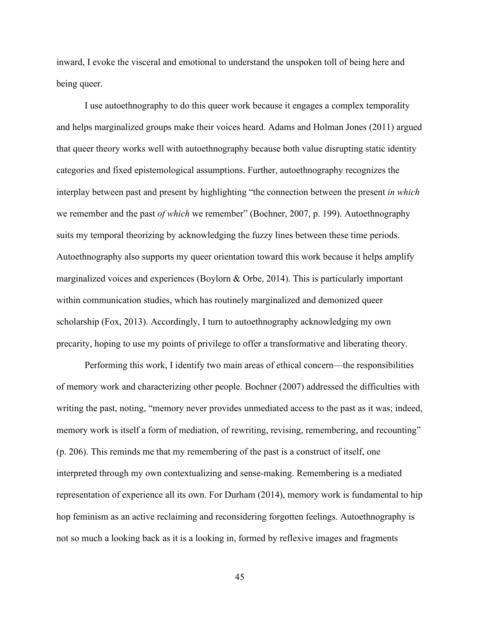inward, I evoke the visceral and emotional to understand the unspoken toll of being here and being queer.

I use autoethnography to do this queer work because it engages a complex temporality and helps marginalized groups make their voices heard. Adams and Holman Jones (2011) argued that queer theory works well with autoethnography because both value disrupting static identity categories and fixed epistemological assumptions. Further, autoethnography recognizes the interplay between past and present by highlighting "the connection between the present *in which*  we remember and the past *of which* we remember" (Bochner, 2007, p. 199). Autoethnography suits my temporal theorizing by acknowledging the fuzzy lines between these time periods. Autoethnography also supports my queer orientation toward this work because it helps amplify marginalized voices and experiences (Boylorn & Orbe, 2014). This is particularly important within communication studies, which has routinely marginalized and demonized queer scholarship (Fox, 2013). Accordingly, I turn to autoethnography acknowledging my own precarity, hoping to use my points of privilege to offer a transformative and liberating theory.

Performing this work, I identify two main areas of ethical concern—the responsibilities of memory work and characterizing other people. Bochner (2007) addressed the difficulties with writing the past, noting, "memory never provides unmediated access to the past as it was; indeed, memory work is itself a form of mediation, of rewriting, revising, remembering, and recounting" (p. 206). This reminds me that my remembering of the past is a construct of itself, one interpreted through my own contextualizing and sense-making. Remembering is a mediated representation of experience all its own. For Durham (2014), memory work is fundamental to hip hop feminism as an active reclaiming and reconsidering forgotten feelings. Autoethnography is not so much a looking back as it is a looking in, formed by reflexive images and fragments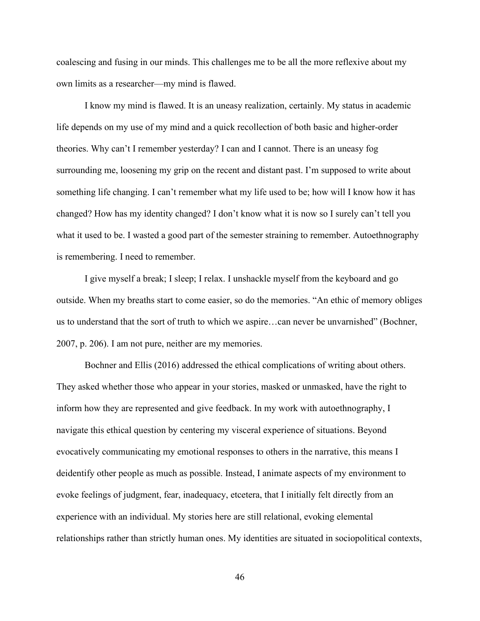coalescing and fusing in our minds. This challenges me to be all the more reflexive about my own limits as a researcher—my mind is flawed.

I know my mind is flawed. It is an uneasy realization, certainly. My status in academic life depends on my use of my mind and a quick recollection of both basic and higher-order theories. Why can't I remember yesterday? I can and I cannot. There is an uneasy fog surrounding me, loosening my grip on the recent and distant past. I'm supposed to write about something life changing. I can't remember what my life used to be; how will I know how it has changed? How has my identity changed? I don't know what it is now so I surely can't tell you what it used to be. I wasted a good part of the semester straining to remember. Autoethnography is remembering. I need to remember.

I give myself a break; I sleep; I relax. I unshackle myself from the keyboard and go outside. When my breaths start to come easier, so do the memories. "An ethic of memory obliges us to understand that the sort of truth to which we aspire...can never be unvarnished" (Bochner, 2007, p. 206). I am not pure, neither are my memories.

Bochner and Ellis (2016) addressed the ethical complications of writing about others. They asked whether those who appear in your stories, masked or unmasked, have the right to inform how they are represented and give feedback. In my work with autoethnography, I navigate this ethical question by centering my visceral experience of situations. Beyond evocatively communicating my emotional responses to others in the narrative, this means I deidentify other people as much as possible. Instead, I animate aspects of my environment to evoke feelings of judgment, fear, inadequacy, etcetera, that I initially felt directly from an experience with an individual. My stories here are still relational, evoking elemental relationships rather than strictly human ones. My identities are situated in sociopolitical contexts,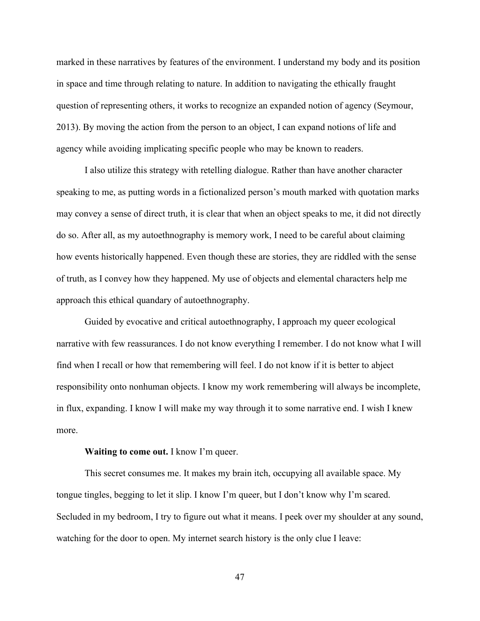marked in these narratives by features of the environment. I understand my body and its position in space and time through relating to nature. In addition to navigating the ethically fraught question of representing others, it works to recognize an expanded notion of agency (Seymour, 2013). By moving the action from the person to an object, I can expand notions of life and agency while avoiding implicating specific people who may be known to readers.

I also utilize this strategy with retelling dialogue. Rather than have another character speaking to me, as putting words in a fictionalized person's mouth marked with quotation marks may convey a sense of direct truth, it is clear that when an object speaks to me, it did not directly do so. After all, as my autoethnography is memory work, I need to be careful about claiming how events historically happened. Even though these are stories, they are riddled with the sense of truth, as I convey how they happened. My use of objects and elemental characters help me approach this ethical quandary of autoethnography.

Guided by evocative and critical autoethnography, I approach my queer ecological narrative with few reassurances. I do not know everything I remember. I do not know what I will find when I recall or how that remembering will feel. I do not know if it is better to abject responsibility onto nonhuman objects. I know my work remembering will always be incomplete, in flux, expanding. I know I will make my way through it to some narrative end. I wish I knew more.

#### **Waiting to come out.** I know I'm queer.

This secret consumes me. It makes my brain itch, occupying all available space. My tongue tingles, begging to let it slip. I know I'm queer, but I don't know why I'm scared. Secluded in my bedroom, I try to figure out what it means. I peek over my shoulder at any sound, watching for the door to open. My internet search history is the only clue I leave: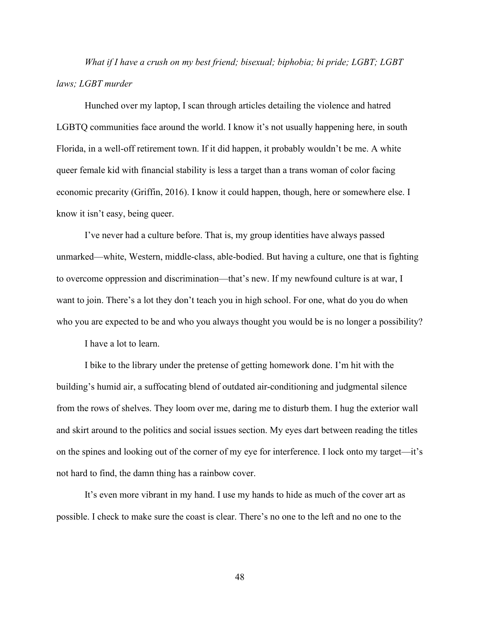*What if I have a crush on my best friend; bisexual; biphobia; bi pride; LGBT; LGBT laws; LGBT murder*

Hunched over my laptop, I scan through articles detailing the violence and hatred LGBTQ communities face around the world. I know it's not usually happening here, in south Florida, in a well-off retirement town. If it did happen, it probably wouldn't be me. A white queer female kid with financial stability is less a target than a trans woman of color facing economic precarity (Griffin, 2016). I know it could happen, though, here or somewhere else. I know it isn't easy, being queer.

I've never had a culture before. That is, my group identities have always passed unmarked—white, Western, middle-class, able-bodied. But having a culture, one that is fighting to overcome oppression and discrimination—that's new. If my newfound culture is at war, I want to join. There's a lot they don't teach you in high school. For one, what do you do when who you are expected to be and who you always thought you would be is no longer a possibility?

I have a lot to learn.

I bike to the library under the pretense of getting homework done. I'm hit with the building's humid air, a suffocating blend of outdated air-conditioning and judgmental silence from the rows of shelves. They loom over me, daring me to disturb them. I hug the exterior wall and skirt around to the politics and social issues section. My eyes dart between reading the titles on the spines and looking out of the corner of my eye for interference. I lock onto my target—it's not hard to find, the damn thing has a rainbow cover.

It's even more vibrant in my hand. I use my hands to hide as much of the cover art as possible. I check to make sure the coast is clear. There's no one to the left and no one to the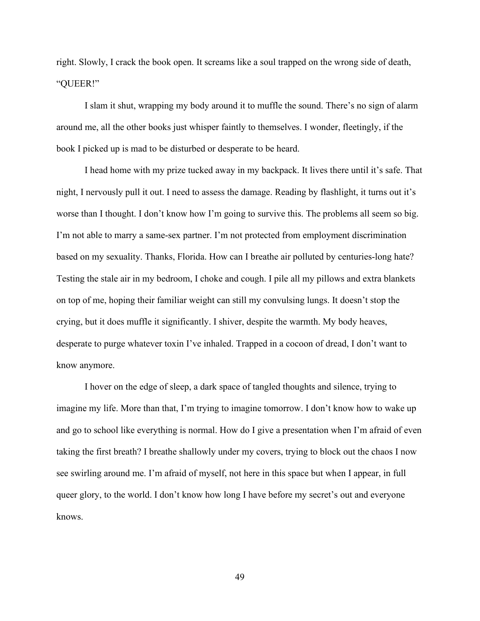right. Slowly, I crack the book open. It screams like a soul trapped on the wrong side of death, "QUEER!"

I slam it shut, wrapping my body around it to muffle the sound. There's no sign of alarm around me, all the other books just whisper faintly to themselves. I wonder, fleetingly, if the book I picked up is mad to be disturbed or desperate to be heard.

I head home with my prize tucked away in my backpack. It lives there until it's safe. That night, I nervously pull it out. I need to assess the damage. Reading by flashlight, it turns out it's worse than I thought. I don't know how I'm going to survive this. The problems all seem so big. I'm not able to marry a same-sex partner. I'm not protected from employment discrimination based on my sexuality. Thanks, Florida. How can I breathe air polluted by centuries-long hate? Testing the stale air in my bedroom, I choke and cough. I pile all my pillows and extra blankets on top of me, hoping their familiar weight can still my convulsing lungs. It doesn't stop the crying, but it does muffle it significantly. I shiver, despite the warmth. My body heaves, desperate to purge whatever toxin I've inhaled. Trapped in a cocoon of dread, I don't want to know anymore.

I hover on the edge of sleep, a dark space of tangled thoughts and silence, trying to imagine my life. More than that, I'm trying to imagine tomorrow. I don't know how to wake up and go to school like everything is normal. How do I give a presentation when I'm afraid of even taking the first breath? I breathe shallowly under my covers, trying to block out the chaos I now see swirling around me. I'm afraid of myself, not here in this space but when I appear, in full queer glory, to the world. I don't know how long I have before my secret's out and everyone knows.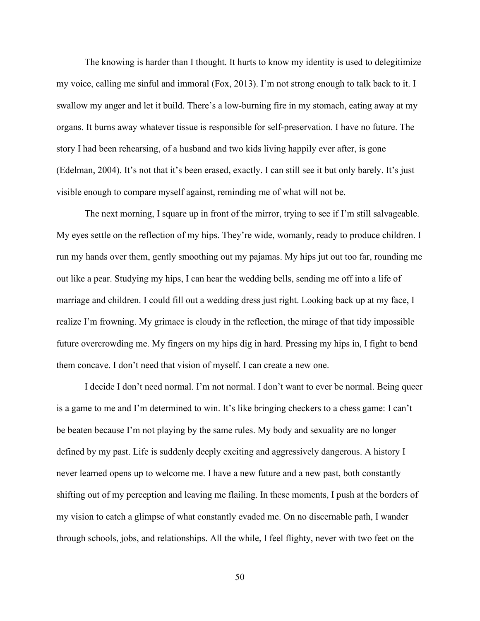The knowing is harder than I thought. It hurts to know my identity is used to delegitimize my voice, calling me sinful and immoral (Fox, 2013). I'm not strong enough to talk back to it. I swallow my anger and let it build. There's a low-burning fire in my stomach, eating away at my organs. It burns away whatever tissue is responsible for self-preservation. I have no future. The story I had been rehearsing, of a husband and two kids living happily ever after, is gone (Edelman, 2004). It's not that it's been erased, exactly. I can still see it but only barely. It's just visible enough to compare myself against, reminding me of what will not be.

The next morning, I square up in front of the mirror, trying to see if I'm still salvageable. My eyes settle on the reflection of my hips. They're wide, womanly, ready to produce children. I run my hands over them, gently smoothing out my pajamas. My hips jut out too far, rounding me out like a pear. Studying my hips, I can hear the wedding bells, sending me off into a life of marriage and children. I could fill out a wedding dress just right. Looking back up at my face, I realize I'm frowning. My grimace is cloudy in the reflection, the mirage of that tidy impossible future overcrowding me. My fingers on my hips dig in hard. Pressing my hips in, I fight to bend them concave. I don't need that vision of myself. I can create a new one.

I decide I don't need normal. I'm not normal. I don't want to ever be normal. Being queer is a game to me and I'm determined to win. It's like bringing checkers to a chess game: I can't be beaten because I'm not playing by the same rules. My body and sexuality are no longer defined by my past. Life is suddenly deeply exciting and aggressively dangerous. A history I never learned opens up to welcome me. I have a new future and a new past, both constantly shifting out of my perception and leaving me flailing. In these moments, I push at the borders of my vision to catch a glimpse of what constantly evaded me. On no discernable path, I wander through schools, jobs, and relationships. All the while, I feel flighty, never with two feet on the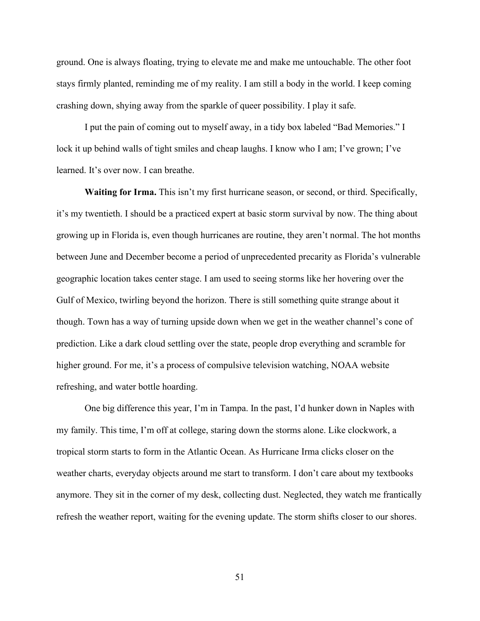ground. One is always floating, trying to elevate me and make me untouchable. The other foot stays firmly planted, reminding me of my reality. I am still a body in the world. I keep coming crashing down, shying away from the sparkle of queer possibility. I play it safe.

I put the pain of coming out to myself away, in a tidy box labeled "Bad Memories." I lock it up behind walls of tight smiles and cheap laughs. I know who I am; I've grown; I've learned. It's over now. I can breathe.

**Waiting for Irma.** This isn't my first hurricane season, or second, or third. Specifically, it's my twentieth. I should be a practiced expert at basic storm survival by now. The thing about growing up in Florida is, even though hurricanes are routine, they aren't normal. The hot months between June and December become a period of unprecedented precarity as Florida's vulnerable geographic location takes center stage. I am used to seeing storms like her hovering over the Gulf of Mexico, twirling beyond the horizon. There is still something quite strange about it though. Town has a way of turning upside down when we get in the weather channel's cone of prediction. Like a dark cloud settling over the state, people drop everything and scramble for higher ground. For me, it's a process of compulsive television watching, NOAA website refreshing, and water bottle hoarding.

One big difference this year, I'm in Tampa. In the past, I'd hunker down in Naples with my family. This time, I'm off at college, staring down the storms alone. Like clockwork, a tropical storm starts to form in the Atlantic Ocean. As Hurricane Irma clicks closer on the weather charts, everyday objects around me start to transform. I don't care about my textbooks anymore. They sit in the corner of my desk, collecting dust. Neglected, they watch me frantically refresh the weather report, waiting for the evening update. The storm shifts closer to our shores.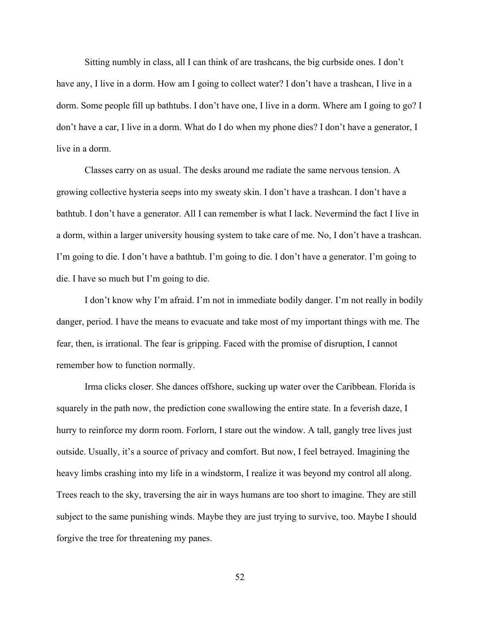Sitting numbly in class, all I can think of are trashcans, the big curbside ones. I don't have any, I live in a dorm. How am I going to collect water? I don't have a trashcan, I live in a dorm. Some people fill up bathtubs. I don't have one, I live in a dorm. Where am I going to go? I don't have a car, I live in a dorm. What do I do when my phone dies? I don't have a generator, I live in a dorm.

Classes carry on as usual. The desks around me radiate the same nervous tension. A growing collective hysteria seeps into my sweaty skin. I don't have a trashcan. I don't have a bathtub. I don't have a generator. All I can remember is what I lack. Nevermind the fact I live in a dorm, within a larger university housing system to take care of me. No, I don't have a trashcan. I'm going to die. I don't have a bathtub. I'm going to die. I don't have a generator. I'm going to die. I have so much but I'm going to die.

I don't know why I'm afraid. I'm not in immediate bodily danger. I'm not really in bodily danger, period. I have the means to evacuate and take most of my important things with me. The fear, then, is irrational. The fear is gripping. Faced with the promise of disruption, I cannot remember how to function normally.

Irma clicks closer. She dances offshore, sucking up water over the Caribbean. Florida is squarely in the path now, the prediction cone swallowing the entire state. In a feverish daze, I hurry to reinforce my dorm room. Forlorn, I stare out the window. A tall, gangly tree lives just outside. Usually, it's a source of privacy and comfort. But now, I feel betrayed. Imagining the heavy limbs crashing into my life in a windstorm, I realize it was beyond my control all along. Trees reach to the sky, traversing the air in ways humans are too short to imagine. They are still subject to the same punishing winds. Maybe they are just trying to survive, too. Maybe I should forgive the tree for threatening my panes.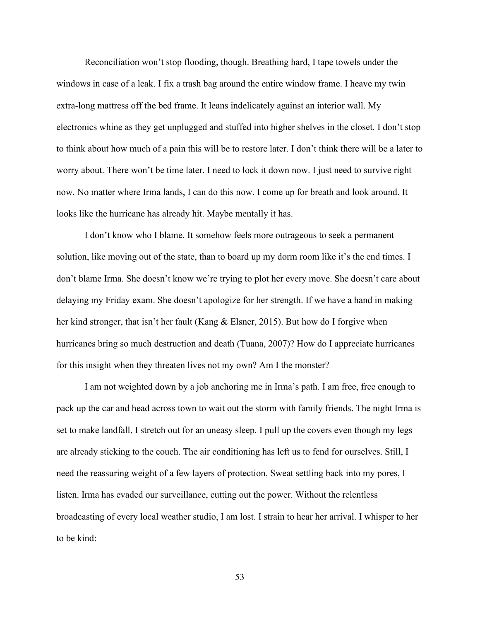Reconciliation won't stop flooding, though. Breathing hard, I tape towels under the windows in case of a leak. I fix a trash bag around the entire window frame. I heave my twin extra-long mattress off the bed frame. It leans indelicately against an interior wall. My electronics whine as they get unplugged and stuffed into higher shelves in the closet. I don't stop to think about how much of a pain this will be to restore later. I don't think there will be a later to worry about. There won't be time later. I need to lock it down now. I just need to survive right now. No matter where Irma lands, I can do this now. I come up for breath and look around. It looks like the hurricane has already hit. Maybe mentally it has.

I don't know who I blame. It somehow feels more outrageous to seek a permanent solution, like moving out of the state, than to board up my dorm room like it's the end times. I don't blame Irma. She doesn't know we're trying to plot her every move. She doesn't care about delaying my Friday exam. She doesn't apologize for her strength. If we have a hand in making her kind stronger, that isn't her fault (Kang & Elsner, 2015). But how do I forgive when hurricanes bring so much destruction and death (Tuana, 2007)? How do I appreciate hurricanes for this insight when they threaten lives not my own? Am I the monster?

I am not weighted down by a job anchoring me in Irma's path. I am free, free enough to pack up the car and head across town to wait out the storm with family friends. The night Irma is set to make landfall, I stretch out for an uneasy sleep. I pull up the covers even though my legs are already sticking to the couch. The air conditioning has left us to fend for ourselves. Still, I need the reassuring weight of a few layers of protection. Sweat settling back into my pores, I listen. Irma has evaded our surveillance, cutting out the power. Without the relentless broadcasting of every local weather studio, I am lost. I strain to hear her arrival. I whisper to her to be kind: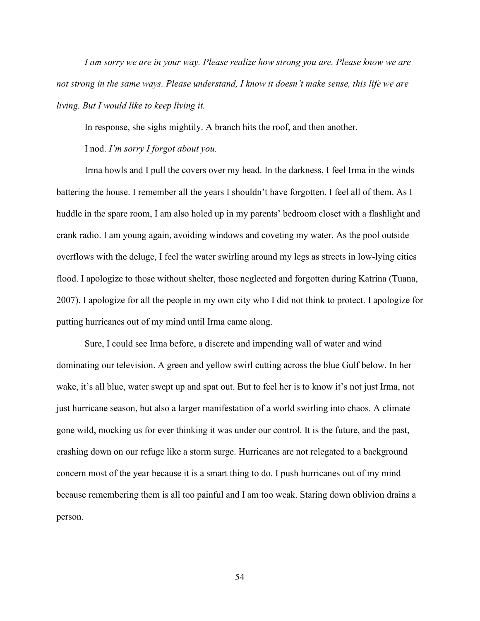*I am sorry we are in your way. Please realize how strong you are. Please know we are not strong in the same ways. Please understand, I know it doesn't make sense, this life we are living. But I would like to keep living it.* 

In response, she sighs mightily. A branch hits the roof, and then another.

I nod. *I'm sorry I forgot about you.*

Irma howls and I pull the covers over my head. In the darkness, I feel Irma in the winds battering the house. I remember all the years I shouldn't have forgotten. I feel all of them. As I huddle in the spare room, I am also holed up in my parents' bedroom closet with a flashlight and crank radio. I am young again, avoiding windows and coveting my water. As the pool outside overflows with the deluge, I feel the water swirling around my legs as streets in low-lying cities flood. I apologize to those without shelter, those neglected and forgotten during Katrina (Tuana, 2007). I apologize for all the people in my own city who I did not think to protect. I apologize for putting hurricanes out of my mind until Irma came along.

Sure, I could see Irma before, a discrete and impending wall of water and wind dominating our television. A green and yellow swirl cutting across the blue Gulf below. In her wake, it's all blue, water swept up and spat out. But to feel her is to know it's not just Irma, not just hurricane season, but also a larger manifestation of a world swirling into chaos. A climate gone wild, mocking us for ever thinking it was under our control. It is the future, and the past, crashing down on our refuge like a storm surge. Hurricanes are not relegated to a background concern most of the year because it is a smart thing to do. I push hurricanes out of my mind because remembering them is all too painful and I am too weak. Staring down oblivion drains a person.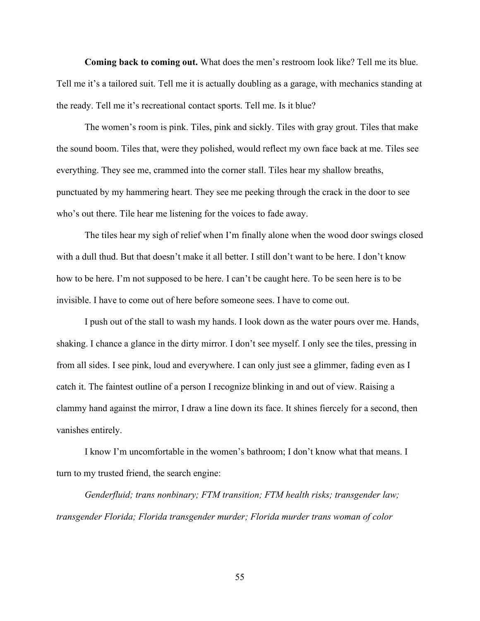**Coming back to coming out.** What does the men's restroom look like? Tell me its blue. Tell me it's a tailored suit. Tell me it is actually doubling as a garage, with mechanics standing at the ready. Tell me it's recreational contact sports. Tell me. Is it blue?

The women's room is pink. Tiles, pink and sickly. Tiles with gray grout. Tiles that make the sound boom. Tiles that, were they polished, would reflect my own face back at me. Tiles see everything. They see me, crammed into the corner stall. Tiles hear my shallow breaths, punctuated by my hammering heart. They see me peeking through the crack in the door to see who's out there. Tile hear me listening for the voices to fade away.

The tiles hear my sigh of relief when I'm finally alone when the wood door swings closed with a dull thud. But that doesn't make it all better. I still don't want to be here. I don't know how to be here. I'm not supposed to be here. I can't be caught here. To be seen here is to be invisible. I have to come out of here before someone sees. I have to come out.

I push out of the stall to wash my hands. I look down as the water pours over me. Hands, shaking. I chance a glance in the dirty mirror. I don't see myself. I only see the tiles, pressing in from all sides. I see pink, loud and everywhere. I can only just see a glimmer, fading even as I catch it. The faintest outline of a person I recognize blinking in and out of view. Raising a clammy hand against the mirror, I draw a line down its face. It shines fiercely for a second, then vanishes entirely.

I know I'm uncomfortable in the women's bathroom; I don't know what that means. I turn to my trusted friend, the search engine:

*Genderfluid; trans nonbinary; FTM transition; FTM health risks; transgender law; transgender Florida; Florida transgender murder; Florida murder trans woman of color*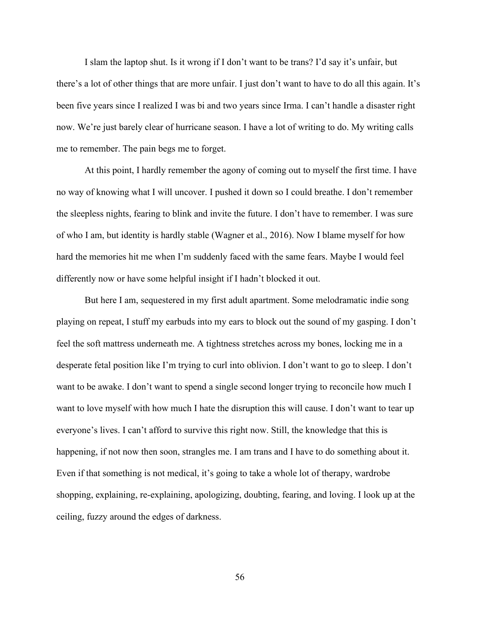I slam the laptop shut. Is it wrong if I don't want to be trans? I'd say it's unfair, but there's a lot of other things that are more unfair. I just don't want to have to do all this again. It's been five years since I realized I was bi and two years since Irma. I can't handle a disaster right now. We're just barely clear of hurricane season. I have a lot of writing to do. My writing calls me to remember. The pain begs me to forget.

At this point, I hardly remember the agony of coming out to myself the first time. I have no way of knowing what I will uncover. I pushed it down so I could breathe. I don't remember the sleepless nights, fearing to blink and invite the future. I don't have to remember. I was sure of who I am, but identity is hardly stable (Wagner et al., 2016). Now I blame myself for how hard the memories hit me when I'm suddenly faced with the same fears. Maybe I would feel differently now or have some helpful insight if I hadn't blocked it out.

But here I am, sequestered in my first adult apartment. Some melodramatic indie song playing on repeat, I stuff my earbuds into my ears to block out the sound of my gasping. I don't feel the soft mattress underneath me. A tightness stretches across my bones, locking me in a desperate fetal position like I'm trying to curl into oblivion. I don't want to go to sleep. I don't want to be awake. I don't want to spend a single second longer trying to reconcile how much I want to love myself with how much I hate the disruption this will cause. I don't want to tear up everyone's lives. I can't afford to survive this right now. Still, the knowledge that this is happening, if not now then soon, strangles me. I am trans and I have to do something about it. Even if that something is not medical, it's going to take a whole lot of therapy, wardrobe shopping, explaining, re-explaining, apologizing, doubting, fearing, and loving. I look up at the ceiling, fuzzy around the edges of darkness.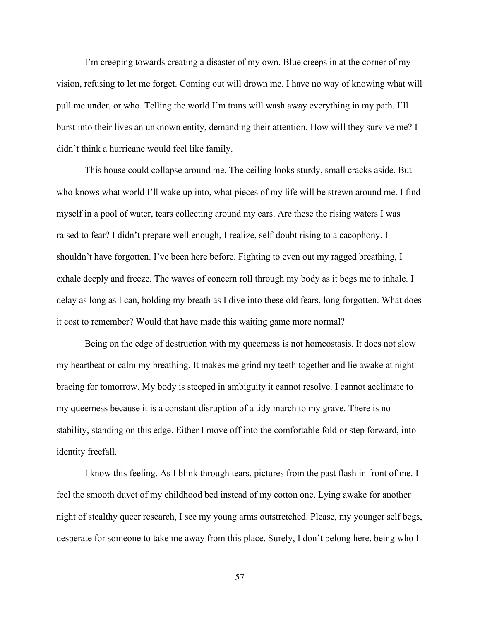I'm creeping towards creating a disaster of my own. Blue creeps in at the corner of my vision, refusing to let me forget. Coming out will drown me. I have no way of knowing what will pull me under, or who. Telling the world I'm trans will wash away everything in my path. I'll burst into their lives an unknown entity, demanding their attention. How will they survive me? I didn't think a hurricane would feel like family.

This house could collapse around me. The ceiling looks sturdy, small cracks aside. But who knows what world I'll wake up into, what pieces of my life will be strewn around me. I find myself in a pool of water, tears collecting around my ears. Are these the rising waters I was raised to fear? I didn't prepare well enough, I realize, self-doubt rising to a cacophony. I shouldn't have forgotten. I've been here before. Fighting to even out my ragged breathing, I exhale deeply and freeze. The waves of concern roll through my body as it begs me to inhale. I delay as long as I can, holding my breath as I dive into these old fears, long forgotten. What does it cost to remember? Would that have made this waiting game more normal?

Being on the edge of destruction with my queerness is not homeostasis. It does not slow my heartbeat or calm my breathing. It makes me grind my teeth together and lie awake at night bracing for tomorrow. My body is steeped in ambiguity it cannot resolve. I cannot acclimate to my queerness because it is a constant disruption of a tidy march to my grave. There is no stability, standing on this edge. Either I move off into the comfortable fold or step forward, into identity freefall.

I know this feeling. As I blink through tears, pictures from the past flash in front of me. I feel the smooth duvet of my childhood bed instead of my cotton one. Lying awake for another night of stealthy queer research, I see my young arms outstretched. Please, my younger self begs, desperate for someone to take me away from this place. Surely, I don't belong here, being who I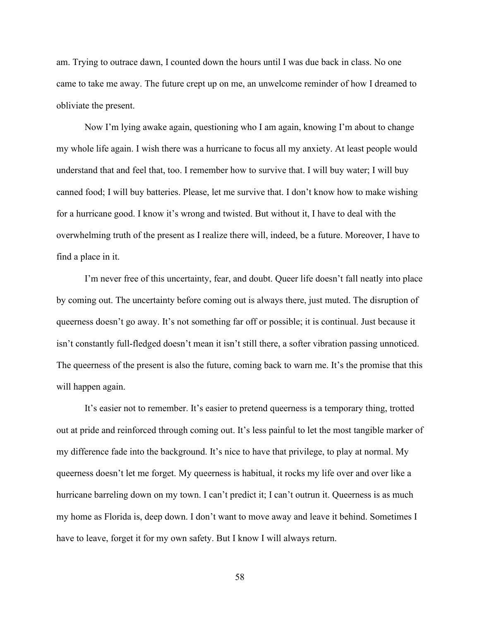am. Trying to outrace dawn, I counted down the hours until I was due back in class. No one came to take me away. The future crept up on me, an unwelcome reminder of how I dreamed to obliviate the present.

Now I'm lying awake again, questioning who I am again, knowing I'm about to change my whole life again. I wish there was a hurricane to focus all my anxiety. At least people would understand that and feel that, too. I remember how to survive that. I will buy water; I will buy canned food; I will buy batteries. Please, let me survive that. I don't know how to make wishing for a hurricane good. I know it's wrong and twisted. But without it, I have to deal with the overwhelming truth of the present as I realize there will, indeed, be a future. Moreover, I have to find a place in it.

I'm never free of this uncertainty, fear, and doubt. Queer life doesn't fall neatly into place by coming out. The uncertainty before coming out is always there, just muted. The disruption of queerness doesn't go away. It's not something far off or possible; it is continual. Just because it isn't constantly full-fledged doesn't mean it isn't still there, a softer vibration passing unnoticed. The queerness of the present is also the future, coming back to warn me. It's the promise that this will happen again.

It's easier not to remember. It's easier to pretend queerness is a temporary thing, trotted out at pride and reinforced through coming out. It's less painful to let the most tangible marker of my difference fade into the background. It's nice to have that privilege, to play at normal. My queerness doesn't let me forget. My queerness is habitual, it rocks my life over and over like a hurricane barreling down on my town. I can't predict it; I can't outrun it. Queerness is as much my home as Florida is, deep down. I don't want to move away and leave it behind. Sometimes I have to leave, forget it for my own safety. But I know I will always return.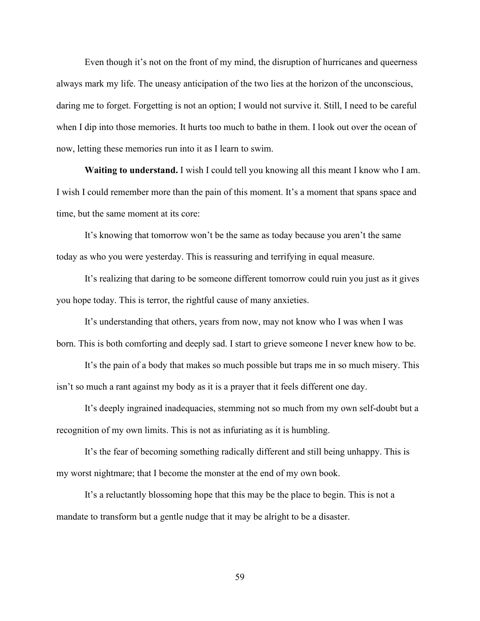Even though it's not on the front of my mind, the disruption of hurricanes and queerness always mark my life. The uneasy anticipation of the two lies at the horizon of the unconscious, daring me to forget. Forgetting is not an option; I would not survive it. Still, I need to be careful when I dip into those memories. It hurts too much to bathe in them. I look out over the ocean of now, letting these memories run into it as I learn to swim.

**Waiting to understand.** I wish I could tell you knowing all this meant I know who I am. I wish I could remember more than the pain of this moment. It's a moment that spans space and time, but the same moment at its core:

It's knowing that tomorrow won't be the same as today because you aren't the same today as who you were yesterday. This is reassuring and terrifying in equal measure.

It's realizing that daring to be someone different tomorrow could ruin you just as it gives you hope today. This is terror, the rightful cause of many anxieties.

It's understanding that others, years from now, may not know who I was when I was born. This is both comforting and deeply sad. I start to grieve someone I never knew how to be.

It's the pain of a body that makes so much possible but traps me in so much misery. This isn't so much a rant against my body as it is a prayer that it feels different one day.

It's deeply ingrained inadequacies, stemming not so much from my own self-doubt but a recognition of my own limits. This is not as infuriating as it is humbling.

It's the fear of becoming something radically different and still being unhappy. This is my worst nightmare; that I become the monster at the end of my own book.

It's a reluctantly blossoming hope that this may be the place to begin. This is not a mandate to transform but a gentle nudge that it may be alright to be a disaster.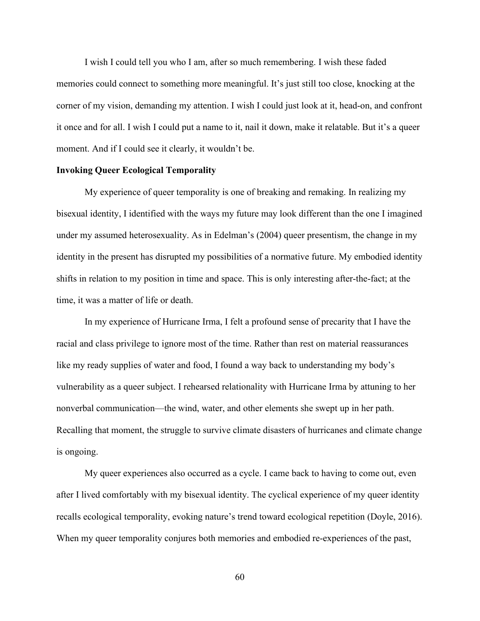I wish I could tell you who I am, after so much remembering. I wish these faded memories could connect to something more meaningful. It's just still too close, knocking at the corner of my vision, demanding my attention. I wish I could just look at it, head-on, and confront it once and for all. I wish I could put a name to it, nail it down, make it relatable. But it's a queer moment. And if I could see it clearly, it wouldn't be.

#### **Invoking Queer Ecological Temporality**

My experience of queer temporality is one of breaking and remaking. In realizing my bisexual identity, I identified with the ways my future may look different than the one I imagined under my assumed heterosexuality. As in Edelman's (2004) queer presentism, the change in my identity in the present has disrupted my possibilities of a normative future. My embodied identity shifts in relation to my position in time and space. This is only interesting after-the-fact; at the time, it was a matter of life or death.

In my experience of Hurricane Irma, I felt a profound sense of precarity that I have the racial and class privilege to ignore most of the time. Rather than rest on material reassurances like my ready supplies of water and food, I found a way back to understanding my body's vulnerability as a queer subject. I rehearsed relationality with Hurricane Irma by attuning to her nonverbal communication—the wind, water, and other elements she swept up in her path. Recalling that moment, the struggle to survive climate disasters of hurricanes and climate change is ongoing.

My queer experiences also occurred as a cycle. I came back to having to come out, even after I lived comfortably with my bisexual identity. The cyclical experience of my queer identity recalls ecological temporality, evoking nature's trend toward ecological repetition (Doyle, 2016). When my queer temporality conjures both memories and embodied re-experiences of the past,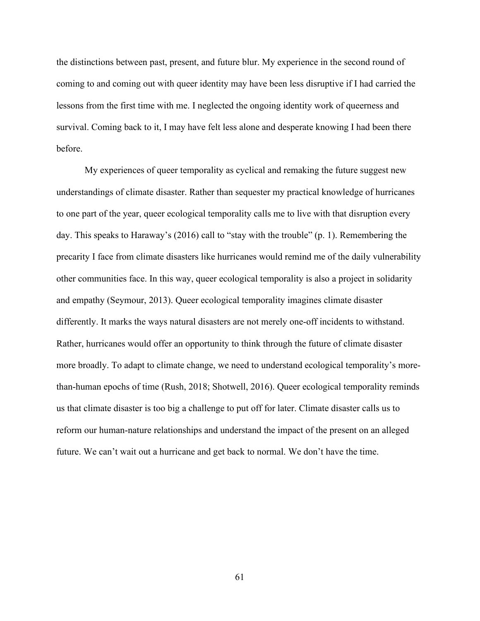the distinctions between past, present, and future blur. My experience in the second round of coming to and coming out with queer identity may have been less disruptive if I had carried the lessons from the first time with me. I neglected the ongoing identity work of queerness and survival. Coming back to it, I may have felt less alone and desperate knowing I had been there before.

My experiences of queer temporality as cyclical and remaking the future suggest new understandings of climate disaster. Rather than sequester my practical knowledge of hurricanes to one part of the year, queer ecological temporality calls me to live with that disruption every day. This speaks to Haraway's (2016) call to "stay with the trouble" (p. 1). Remembering the precarity I face from climate disasters like hurricanes would remind me of the daily vulnerability other communities face. In this way, queer ecological temporality is also a project in solidarity and empathy (Seymour, 2013). Queer ecological temporality imagines climate disaster differently. It marks the ways natural disasters are not merely one-off incidents to withstand. Rather, hurricanes would offer an opportunity to think through the future of climate disaster more broadly. To adapt to climate change, we need to understand ecological temporality's morethan-human epochs of time (Rush, 2018; Shotwell, 2016). Queer ecological temporality reminds us that climate disaster is too big a challenge to put off for later. Climate disaster calls us to reform our human-nature relationships and understand the impact of the present on an alleged future. We can't wait out a hurricane and get back to normal. We don't have the time.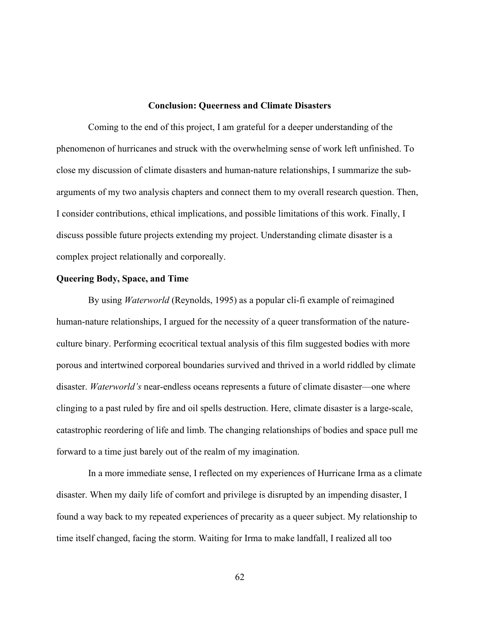#### **Conclusion: Queerness and Climate Disasters**

Coming to the end of this project, I am grateful for a deeper understanding of the phenomenon of hurricanes and struck with the overwhelming sense of work left unfinished. To close my discussion of climate disasters and human-nature relationships, I summarize the subarguments of my two analysis chapters and connect them to my overall research question. Then, I consider contributions, ethical implications, and possible limitations of this work. Finally, I discuss possible future projects extending my project. Understanding climate disaster is a complex project relationally and corporeally.

#### **Queering Body, Space, and Time**

By using *Waterworld* (Reynolds, 1995) as a popular cli-fi example of reimagined human-nature relationships, I argued for the necessity of a queer transformation of the natureculture binary. Performing ecocritical textual analysis of this film suggested bodies with more porous and intertwined corporeal boundaries survived and thrived in a world riddled by climate disaster. *Waterworld's* near-endless oceans represents a future of climate disaster—one where clinging to a past ruled by fire and oil spells destruction. Here, climate disaster is a large-scale, catastrophic reordering of life and limb. The changing relationships of bodies and space pull me forward to a time just barely out of the realm of my imagination.

In a more immediate sense, I reflected on my experiences of Hurricane Irma as a climate disaster. When my daily life of comfort and privilege is disrupted by an impending disaster, I found a way back to my repeated experiences of precarity as a queer subject. My relationship to time itself changed, facing the storm. Waiting for Irma to make landfall, I realized all too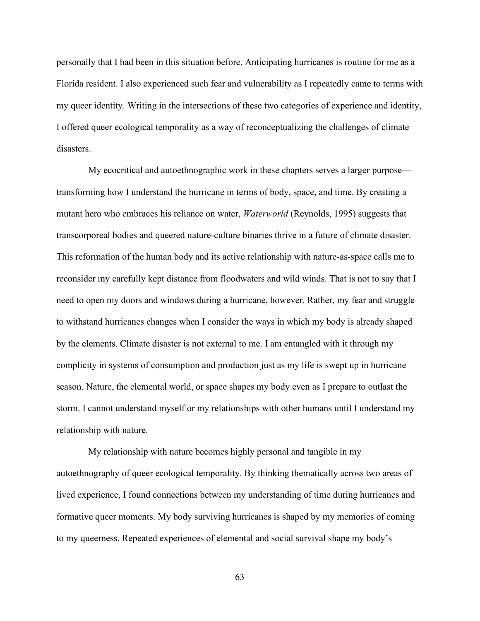personally that I had been in this situation before. Anticipating hurricanes is routine for me as a Florida resident. I also experienced such fear and vulnerability as I repeatedly came to terms with my queer identity. Writing in the intersections of these two categories of experience and identity, I offered queer ecological temporality as a way of reconceptualizing the challenges of climate disasters.

My ecocritical and autoethnographic work in these chapters serves a larger purpose transforming how I understand the hurricane in terms of body, space, and time. By creating a mutant hero who embraces his reliance on water, *Waterworld* (Reynolds, 1995) suggests that transcorporeal bodies and queered nature-culture binaries thrive in a future of climate disaster. This reformation of the human body and its active relationship with nature-as-space calls me to reconsider my carefully kept distance from floodwaters and wild winds. That is not to say that I need to open my doors and windows during a hurricane, however. Rather, my fear and struggle to withstand hurricanes changes when I consider the ways in which my body is already shaped by the elements. Climate disaster is not external to me. I am entangled with it through my complicity in systems of consumption and production just as my life is swept up in hurricane season. Nature, the elemental world, or space shapes my body even as I prepare to outlast the storm. I cannot understand myself or my relationships with other humans until I understand my relationship with nature.

My relationship with nature becomes highly personal and tangible in my autoethnography of queer ecological temporality. By thinking thematically across two areas of lived experience, I found connections between my understanding of time during hurricanes and formative queer moments. My body surviving hurricanes is shaped by my memories of coming to my queerness. Repeated experiences of elemental and social survival shape my body's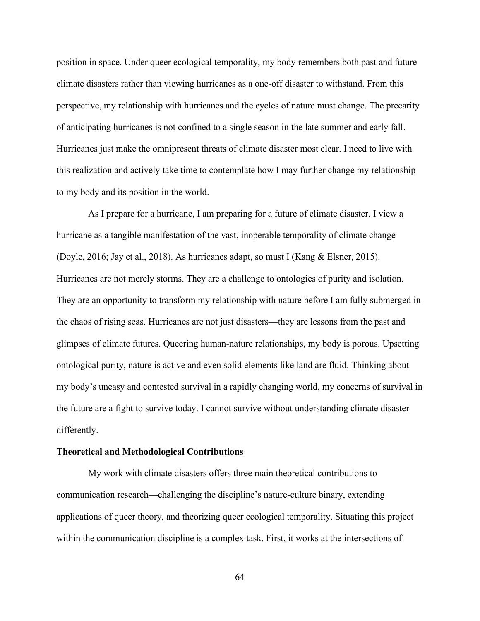position in space. Under queer ecological temporality, my body remembers both past and future climate disasters rather than viewing hurricanes as a one-off disaster to withstand. From this perspective, my relationship with hurricanes and the cycles of nature must change. The precarity of anticipating hurricanes is not confined to a single season in the late summer and early fall. Hurricanes just make the omnipresent threats of climate disaster most clear. I need to live with this realization and actively take time to contemplate how I may further change my relationship to my body and its position in the world.

As I prepare for a hurricane, I am preparing for a future of climate disaster. I view a hurricane as a tangible manifestation of the vast, inoperable temporality of climate change (Doyle, 2016; Jay et al., 2018). As hurricanes adapt, so must I (Kang & Elsner, 2015). Hurricanes are not merely storms. They are a challenge to ontologies of purity and isolation. They are an opportunity to transform my relationship with nature before I am fully submerged in the chaos of rising seas. Hurricanes are not just disasters—they are lessons from the past and glimpses of climate futures. Queering human-nature relationships, my body is porous. Upsetting ontological purity, nature is active and even solid elements like land are fluid. Thinking about my body's uneasy and contested survival in a rapidly changing world, my concerns of survival in the future are a fight to survive today. I cannot survive without understanding climate disaster differently.

#### **Theoretical and Methodological Contributions**

My work with climate disasters offers three main theoretical contributions to communication research—challenging the discipline's nature-culture binary, extending applications of queer theory, and theorizing queer ecological temporality. Situating this project within the communication discipline is a complex task. First, it works at the intersections of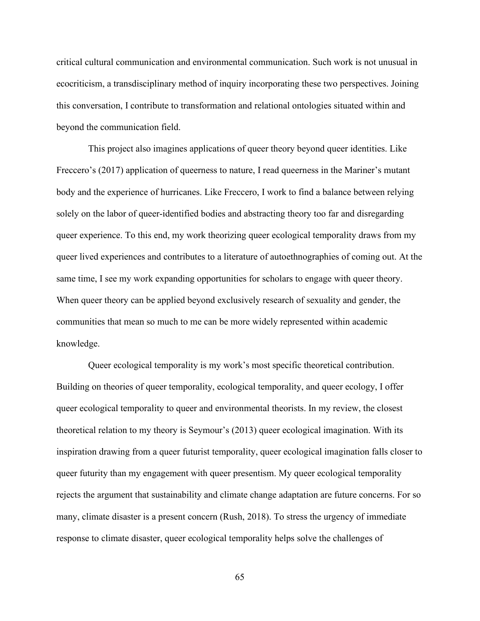critical cultural communication and environmental communication. Such work is not unusual in ecocriticism, a transdisciplinary method of inquiry incorporating these two perspectives. Joining this conversation, I contribute to transformation and relational ontologies situated within and beyond the communication field.

This project also imagines applications of queer theory beyond queer identities. Like Freccero's (2017) application of queerness to nature, I read queerness in the Mariner's mutant body and the experience of hurricanes. Like Freccero, I work to find a balance between relying solely on the labor of queer-identified bodies and abstracting theory too far and disregarding queer experience. To this end, my work theorizing queer ecological temporality draws from my queer lived experiences and contributes to a literature of autoethnographies of coming out. At the same time, I see my work expanding opportunities for scholars to engage with queer theory. When queer theory can be applied beyond exclusively research of sexuality and gender, the communities that mean so much to me can be more widely represented within academic knowledge.

Queer ecological temporality is my work's most specific theoretical contribution. Building on theories of queer temporality, ecological temporality, and queer ecology, I offer queer ecological temporality to queer and environmental theorists. In my review, the closest theoretical relation to my theory is Seymour's (2013) queer ecological imagination. With its inspiration drawing from a queer futurist temporality, queer ecological imagination falls closer to queer futurity than my engagement with queer presentism. My queer ecological temporality rejects the argument that sustainability and climate change adaptation are future concerns. For so many, climate disaster is a present concern (Rush, 2018). To stress the urgency of immediate response to climate disaster, queer ecological temporality helps solve the challenges of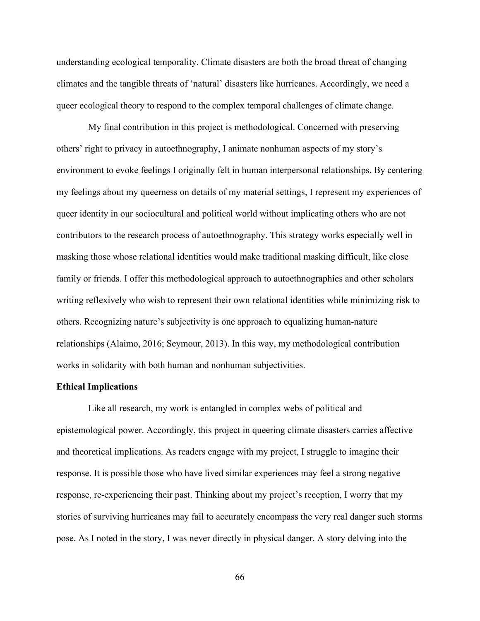understanding ecological temporality. Climate disasters are both the broad threat of changing climates and the tangible threats of 'natural' disasters like hurricanes. Accordingly, we need a queer ecological theory to respond to the complex temporal challenges of climate change.

My final contribution in this project is methodological. Concerned with preserving others' right to privacy in autoethnography, I animate nonhuman aspects of my story's environment to evoke feelings I originally felt in human interpersonal relationships. By centering my feelings about my queerness on details of my material settings, I represent my experiences of queer identity in our sociocultural and political world without implicating others who are not contributors to the research process of autoethnography. This strategy works especially well in masking those whose relational identities would make traditional masking difficult, like close family or friends. I offer this methodological approach to autoethnographies and other scholars writing reflexively who wish to represent their own relational identities while minimizing risk to others. Recognizing nature's subjectivity is one approach to equalizing human-nature relationships (Alaimo, 2016; Seymour, 2013). In this way, my methodological contribution works in solidarity with both human and nonhuman subjectivities.

#### **Ethical Implications**

Like all research, my work is entangled in complex webs of political and epistemological power. Accordingly, this project in queering climate disasters carries affective and theoretical implications. As readers engage with my project, I struggle to imagine their response. It is possible those who have lived similar experiences may feel a strong negative response, re-experiencing their past. Thinking about my project's reception, I worry that my stories of surviving hurricanes may fail to accurately encompass the very real danger such storms pose. As I noted in the story, I was never directly in physical danger. A story delving into the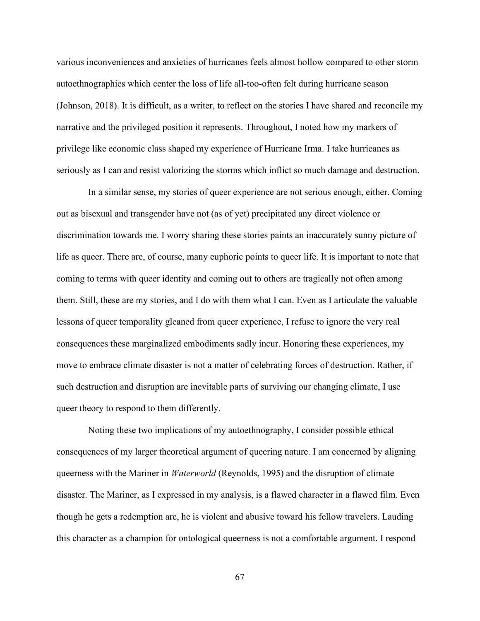various inconveniences and anxieties of hurricanes feels almost hollow compared to other storm autoethnographies which center the loss of life all-too-often felt during hurricane season (Johnson, 2018). It is difficult, as a writer, to reflect on the stories I have shared and reconcile my narrative and the privileged position it represents. Throughout, I noted how my markers of privilege like economic class shaped my experience of Hurricane Irma. I take hurricanes as seriously as I can and resist valorizing the storms which inflict so much damage and destruction.

In a similar sense, my stories of queer experience are not serious enough, either. Coming out as bisexual and transgender have not (as of yet) precipitated any direct violence or discrimination towards me. I worry sharing these stories paints an inaccurately sunny picture of life as queer. There are, of course, many euphoric points to queer life. It is important to note that coming to terms with queer identity and coming out to others are tragically not often among them. Still, these are my stories, and I do with them what I can. Even as I articulate the valuable lessons of queer temporality gleaned from queer experience, I refuse to ignore the very real consequences these marginalized embodiments sadly incur. Honoring these experiences, my move to embrace climate disaster is not a matter of celebrating forces of destruction. Rather, if such destruction and disruption are inevitable parts of surviving our changing climate, I use queer theory to respond to them differently.

Noting these two implications of my autoethnography, I consider possible ethical consequences of my larger theoretical argument of queering nature. I am concerned by aligning queerness with the Mariner in *Waterworld* (Reynolds, 1995) and the disruption of climate disaster. The Mariner, as I expressed in my analysis, is a flawed character in a flawed film. Even though he gets a redemption arc, he is violent and abusive toward his fellow travelers. Lauding this character as a champion for ontological queerness is not a comfortable argument. I respond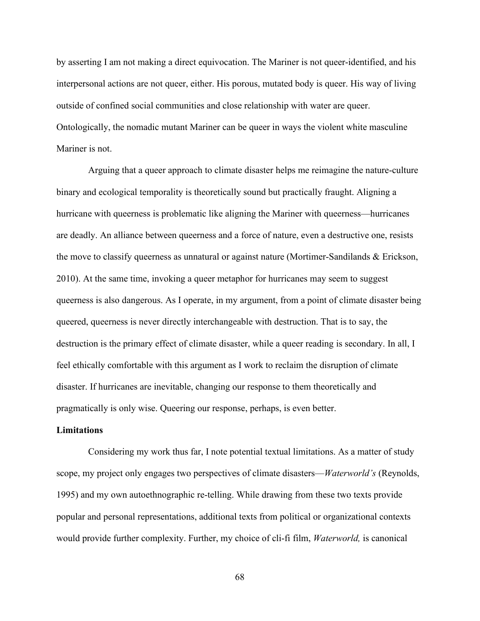by asserting I am not making a direct equivocation. The Mariner is not queer-identified, and his interpersonal actions are not queer, either. His porous, mutated body is queer. His way of living outside of confined social communities and close relationship with water are queer. Ontologically, the nomadic mutant Mariner can be queer in ways the violent white masculine Mariner is not.

Arguing that a queer approach to climate disaster helps me reimagine the nature-culture binary and ecological temporality is theoretically sound but practically fraught. Aligning a hurricane with queerness is problematic like aligning the Mariner with queerness—hurricanes are deadly. An alliance between queerness and a force of nature, even a destructive one, resists the move to classify queerness as unnatural or against nature (Mortimer-Sandilands & Erickson, 2010). At the same time, invoking a queer metaphor for hurricanes may seem to suggest queerness is also dangerous. As I operate, in my argument, from a point of climate disaster being queered, queerness is never directly interchangeable with destruction. That is to say, the destruction is the primary effect of climate disaster, while a queer reading is secondary. In all, I feel ethically comfortable with this argument as I work to reclaim the disruption of climate disaster. If hurricanes are inevitable, changing our response to them theoretically and pragmatically is only wise. Queering our response, perhaps, is even better.

#### **Limitations**

Considering my work thus far, I note potential textual limitations. As a matter of study scope, my project only engages two perspectives of climate disasters—*Waterworld's* (Reynolds, 1995) and my own autoethnographic re-telling. While drawing from these two texts provide popular and personal representations, additional texts from political or organizational contexts would provide further complexity. Further, my choice of cli-fi film, *Waterworld,* is canonical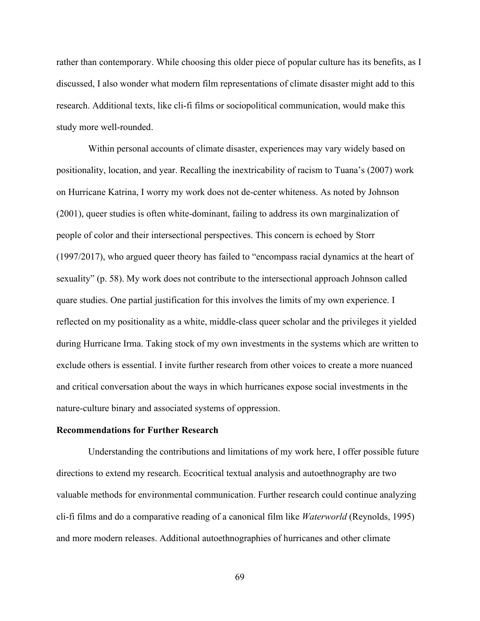rather than contemporary. While choosing this older piece of popular culture has its benefits, as I discussed, I also wonder what modern film representations of climate disaster might add to this research. Additional texts, like cli-fi films or sociopolitical communication, would make this study more well-rounded.

Within personal accounts of climate disaster, experiences may vary widely based on positionality, location, and year. Recalling the inextricability of racism to Tuana's (2007) work on Hurricane Katrina, I worry my work does not de-center whiteness. As noted by Johnson (2001), queer studies is often white-dominant, failing to address its own marginalization of people of color and their intersectional perspectives. This concern is echoed by Storr (1997/2017), who argued queer theory has failed to "encompass racial dynamics at the heart of sexuality" (p. 58). My work does not contribute to the intersectional approach Johnson called quare studies. One partial justification for this involves the limits of my own experience. I reflected on my positionality as a white, middle-class queer scholar and the privileges it yielded during Hurricane Irma. Taking stock of my own investments in the systems which are written to exclude others is essential. I invite further research from other voices to create a more nuanced and critical conversation about the ways in which hurricanes expose social investments in the nature-culture binary and associated systems of oppression.

## **Recommendations for Further Research**

Understanding the contributions and limitations of my work here, I offer possible future directions to extend my research. Ecocritical textual analysis and autoethnography are two valuable methods for environmental communication. Further research could continue analyzing cli-fi films and do a comparative reading of a canonical film like *Waterworld* (Reynolds, 1995) and more modern releases. Additional autoethnographies of hurricanes and other climate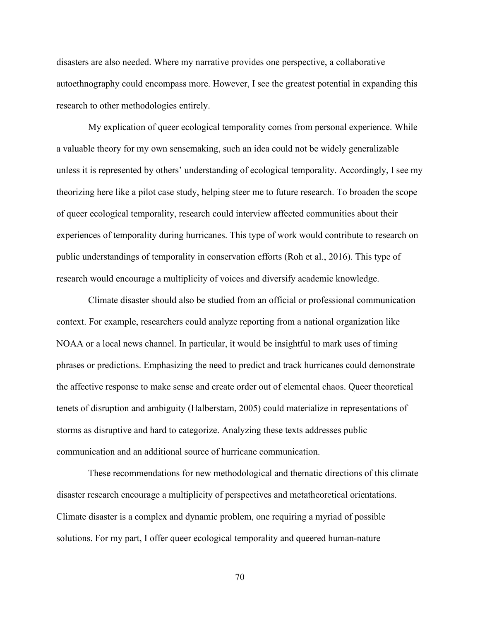disasters are also needed. Where my narrative provides one perspective, a collaborative autoethnography could encompass more. However, I see the greatest potential in expanding this research to other methodologies entirely.

My explication of queer ecological temporality comes from personal experience. While a valuable theory for my own sensemaking, such an idea could not be widely generalizable unless it is represented by others' understanding of ecological temporality. Accordingly, I see my theorizing here like a pilot case study, helping steer me to future research. To broaden the scope of queer ecological temporality, research could interview affected communities about their experiences of temporality during hurricanes. This type of work would contribute to research on public understandings of temporality in conservation efforts (Roh et al., 2016). This type of research would encourage a multiplicity of voices and diversify academic knowledge.

Climate disaster should also be studied from an official or professional communication context. For example, researchers could analyze reporting from a national organization like NOAA or a local news channel. In particular, it would be insightful to mark uses of timing phrases or predictions. Emphasizing the need to predict and track hurricanes could demonstrate the affective response to make sense and create order out of elemental chaos. Queer theoretical tenets of disruption and ambiguity (Halberstam, 2005) could materialize in representations of storms as disruptive and hard to categorize. Analyzing these texts addresses public communication and an additional source of hurricane communication.

These recommendations for new methodological and thematic directions of this climate disaster research encourage a multiplicity of perspectives and metatheoretical orientations. Climate disaster is a complex and dynamic problem, one requiring a myriad of possible solutions. For my part, I offer queer ecological temporality and queered human-nature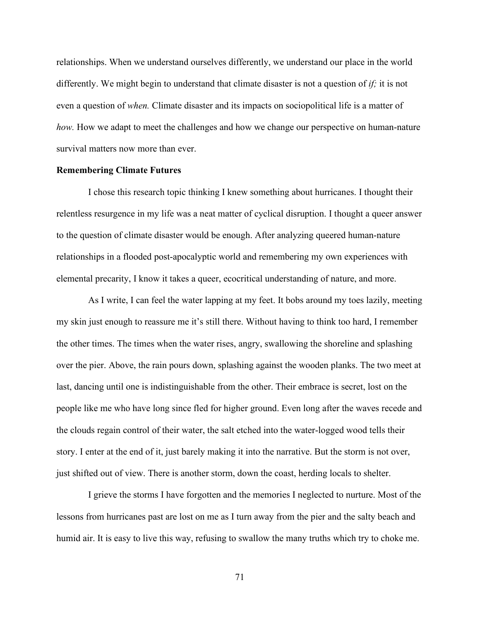relationships. When we understand ourselves differently, we understand our place in the world differently. We might begin to understand that climate disaster is not a question of *if;* it is not even a question of *when.* Climate disaster and its impacts on sociopolitical life is a matter of *how*. How we adapt to meet the challenges and how we change our perspective on human-nature survival matters now more than ever.

## **Remembering Climate Futures**

I chose this research topic thinking I knew something about hurricanes. I thought their relentless resurgence in my life was a neat matter of cyclical disruption. I thought a queer answer to the question of climate disaster would be enough. After analyzing queered human-nature relationships in a flooded post-apocalyptic world and remembering my own experiences with elemental precarity, I know it takes a queer, ecocritical understanding of nature, and more.

As I write, I can feel the water lapping at my feet. It bobs around my toes lazily, meeting my skin just enough to reassure me it's still there. Without having to think too hard, I remember the other times. The times when the water rises, angry, swallowing the shoreline and splashing over the pier. Above, the rain pours down, splashing against the wooden planks. The two meet at last, dancing until one is indistinguishable from the other. Their embrace is secret, lost on the people like me who have long since fled for higher ground. Even long after the waves recede and the clouds regain control of their water, the salt etched into the water-logged wood tells their story. I enter at the end of it, just barely making it into the narrative. But the storm is not over, just shifted out of view. There is another storm, down the coast, herding locals to shelter.

I grieve the storms I have forgotten and the memories I neglected to nurture. Most of the lessons from hurricanes past are lost on me as I turn away from the pier and the salty beach and humid air. It is easy to live this way, refusing to swallow the many truths which try to choke me.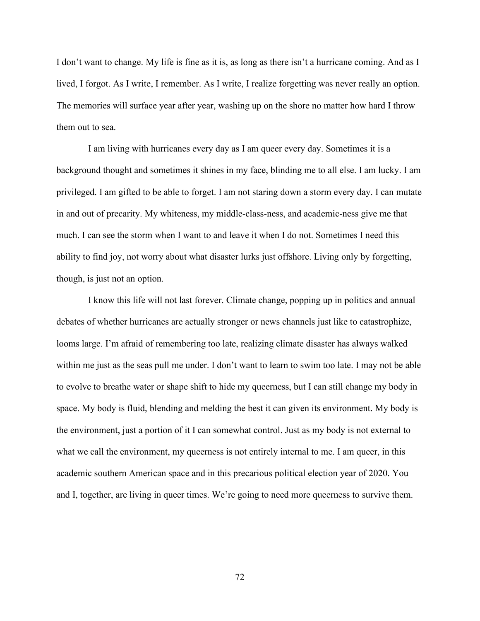I don't want to change. My life is fine as it is, as long as there isn't a hurricane coming. And as I lived, I forgot. As I write, I remember. As I write, I realize forgetting was never really an option. The memories will surface year after year, washing up on the shore no matter how hard I throw them out to sea.

I am living with hurricanes every day as I am queer every day. Sometimes it is a background thought and sometimes it shines in my face, blinding me to all else. I am lucky. I am privileged. I am gifted to be able to forget. I am not staring down a storm every day. I can mutate in and out of precarity. My whiteness, my middle-class-ness, and academic-ness give me that much. I can see the storm when I want to and leave it when I do not. Sometimes I need this ability to find joy, not worry about what disaster lurks just offshore. Living only by forgetting, though, is just not an option.

I know this life will not last forever. Climate change, popping up in politics and annual debates of whether hurricanes are actually stronger or news channels just like to catastrophize, looms large. I'm afraid of remembering too late, realizing climate disaster has always walked within me just as the seas pull me under. I don't want to learn to swim too late. I may not be able to evolve to breathe water or shape shift to hide my queerness, but I can still change my body in space. My body is fluid, blending and melding the best it can given its environment. My body is the environment, just a portion of it I can somewhat control. Just as my body is not external to what we call the environment, my queerness is not entirely internal to me. I am queer, in this academic southern American space and in this precarious political election year of 2020. You and I, together, are living in queer times. We're going to need more queerness to survive them.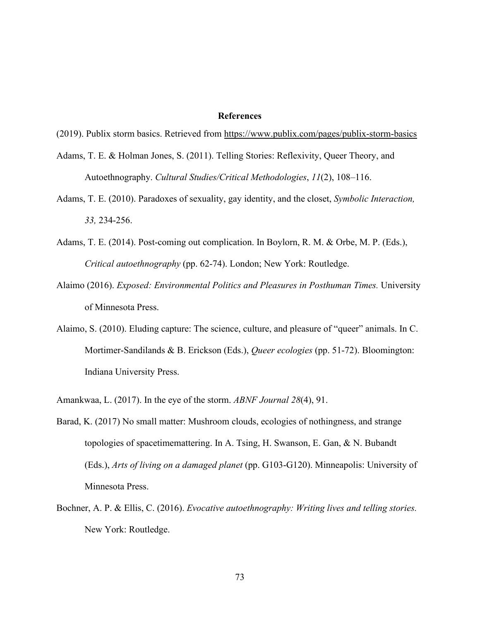## **References**

- (2019). Publix storm basics. Retrieved from<https://www.publix.com/pages/publix-storm-basics>
- Adams, T. E. & Holman Jones, S. (2011). Telling Stories: Reflexivity, Queer Theory, and Autoethnography. *Cultural Studies/Critical Methodologies*, *11*(2), 108–116.
- Adams, T. E. (2010). Paradoxes of sexuality, gay identity, and the closet, *Symbolic Interaction, 33,* 234-256.
- Adams, T. E. (2014). Post-coming out complication. In Boylorn, R. M. & Orbe, M. P. (Eds.), *Critical autoethnography* (pp. 62-74). London; New York: Routledge.
- Alaimo (2016). *Exposed: Environmental Politics and Pleasures in Posthuman Times.* University of Minnesota Press.
- Alaimo, S. (2010). Eluding capture: The science, culture, and pleasure of "queer" animals. In C. Mortimer-Sandilands & B. Erickson (Eds.), *Queer ecologies* (pp. 51-72). Bloomington: Indiana University Press.
- Amankwaa, L. (2017). In the eye of the storm. *ABNF Journal 28*(4), 91.
- Barad, K. (2017) No small matter: Mushroom clouds, ecologies of nothingness, and strange topologies of spacetimemattering. In A. Tsing, H. Swanson, E. Gan, & N. Bubandt (Eds.), *Arts of living on a damaged planet* (pp. G103-G120). Minneapolis: University of Minnesota Press.
- Bochner, A. P. & Ellis, C. (2016). *Evocative autoethnography: Writing lives and telling stories.*  New York: Routledge.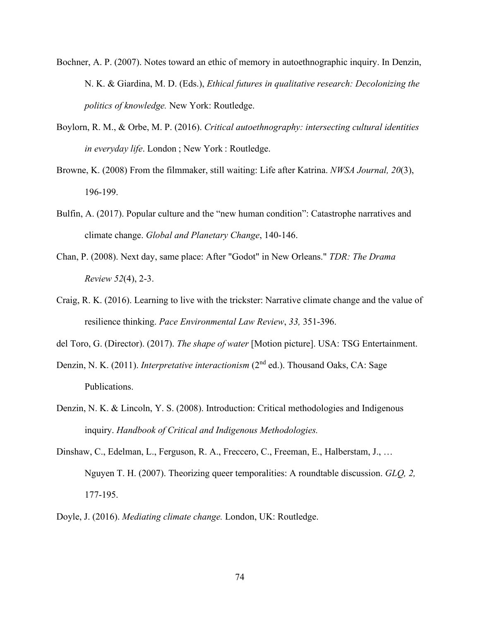- Bochner, A. P. (2007). Notes toward an ethic of memory in autoethnographic inquiry. In Denzin, N. K. & Giardina, M. D. (Eds.), *Ethical futures in qualitative research: Decolonizing the politics of knowledge.* New York: Routledge.
- Boylorn, R. M., & Orbe, M. P. (2016). *Critical autoethnography: intersecting cultural identities in everyday life*. London ; New York : Routledge.
- Browne, K. (2008) From the filmmaker, still waiting: Life after Katrina. *NWSA Journal, 20*(3), 196-199.
- Bulfin, A. (2017). Popular culture and the "new human condition": Catastrophe narratives and climate change. *Global and Planetary Change*, 140-146.
- Chan, P. (2008). Next day, same place: After "Godot" in New Orleans." *TDR: The Drama Review 52*(4), 2-3.
- Craig, R. K. (2016). Learning to live with the trickster: Narrative climate change and the value of resilience thinking. *Pace Environmental Law Review*, *33,* 351-396.
- del Toro, G. (Director). (2017). *The shape of water* [Motion picture]. USA: TSG Entertainment.
- Denzin, N. K. (2011). *Interpretative interactionism* (2<sup>nd</sup> ed.). Thousand Oaks, CA: Sage Publications.
- Denzin, N. K. & Lincoln, Y. S. (2008). Introduction: Critical methodologies and Indigenous inquiry. *Handbook of Critical and Indigenous Methodologies.*
- Dinshaw, C., Edelman, L., Ferguson, R. A., Freccero, C., Freeman, E., Halberstam, J., … Nguyen T. H. (2007). Theorizing queer temporalities: A roundtable discussion. *GLQ, 2,*  177-195.
- Doyle, J. (2016). *Mediating climate change.* London, UK: Routledge.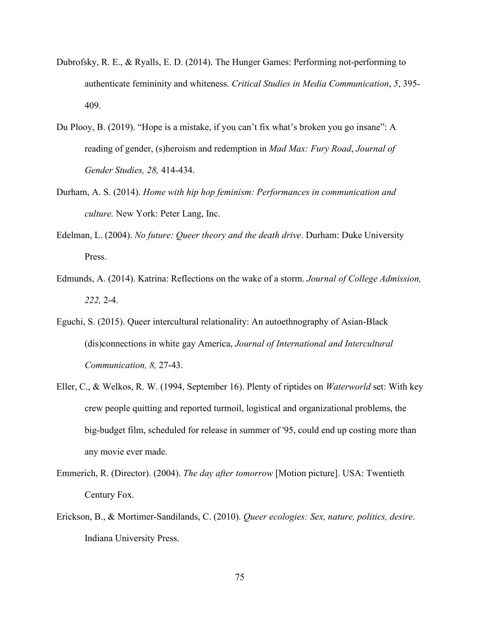- Dubrofsky, R. E., & Ryalls, E. D. (2014). The Hunger Games: Performing not-performing to authenticate femininity and whiteness. *Critical Studies in Media Communication*, *5*, 395- 409.
- Du Plooy, B. (2019). "Hope is a mistake, if you can't fix what's broken you go insane": A reading of gender, (s)heroism and redemption in *Mad Max: Fury Road*, *Journal of Gender Studies, 28,* 414-434.
- Durham, A. S. (2014). *Home with hip hop feminism: Performances in communication and culture.* New York: Peter Lang, Inc.
- Edelman, L. (2004). *No future: Queer theory and the death drive*. Durham: Duke University Press.
- Edmunds, A. (2014). Katrina: Reflections on the wake of a storm. *Journal of College Admission, 222,* 2-4.
- Eguchi, S. (2015). Queer intercultural relationality: An autoethnography of Asian-Black (dis)connections in white gay America, *Journal of International and Intercultural Communication, 8,* 27-43.
- Eller, C., & Welkos, R. W. (1994, September 16). Plenty of riptides on *Waterworld* set: With key crew people quitting and reported turmoil, logistical and organizational problems, the big-budget film, scheduled for release in summer of '95, could end up costing more than any movie ever made.
- Emmerich, R. (Director). (2004). *The day after tomorrow* [Motion picture]. USA: Twentieth Century Fox.
- Erickson, B., & Mortimer-Sandilands, C. (2010). *Queer ecologies: Sex, nature, politics, desire*. Indiana University Press.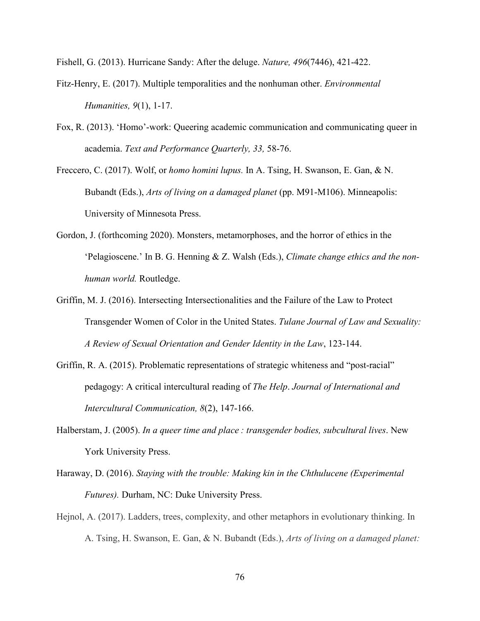Fishell, G. (2013). Hurricane Sandy: After the deluge. *Nature, 496*(7446), 421-422.

- Fitz-Henry, E. (2017). Multiple temporalities and the nonhuman other. *Environmental Humanities, 9*(1), 1-17.
- Fox, R. (2013). 'Homo'-work: Queering academic communication and communicating queer in academia. *Text and Performance Quarterly, 33,* 58-76.
- Freccero, C. (2017). Wolf, or *homo homini lupus.* In A. Tsing, H. Swanson, E. Gan, & N. Bubandt (Eds.), *Arts of living on a damaged planet* (pp. M91-M106). Minneapolis: University of Minnesota Press.
- Gordon, J. (forthcoming 2020). Monsters, metamorphoses, and the horror of ethics in the 'Pelagioscene.' In B. G. Henning & Z. Walsh (Eds.), *Climate change ethics and the nonhuman world.* Routledge.
- Griffin, M. J. (2016). Intersecting Intersectionalities and the Failure of the Law to Protect Transgender Women of Color in the United States. *Tulane Journal of Law and Sexuality: A Review of Sexual Orientation and Gender Identity in the Law*, 123-144.
- Griffin, R. A. (2015). Problematic representations of strategic whiteness and "post-racial" pedagogy: A critical intercultural reading of *The Help*. *Journal of International and Intercultural Communication, 8*(2), 147-166.
- Halberstam, J. (2005). *In a queer time and place : transgender bodies, subcultural lives*. New York University Press.
- Haraway, D. (2016). *Staying with the trouble: Making kin in the Chthulucene (Experimental Futures).* Durham, NC: Duke University Press.
- Hejnol, A. (2017). Ladders, trees, complexity, and other metaphors in evolutionary thinking. In A. Tsing, H. Swanson, E. Gan, & N. Bubandt (Eds.), *Arts of living on a damaged planet:*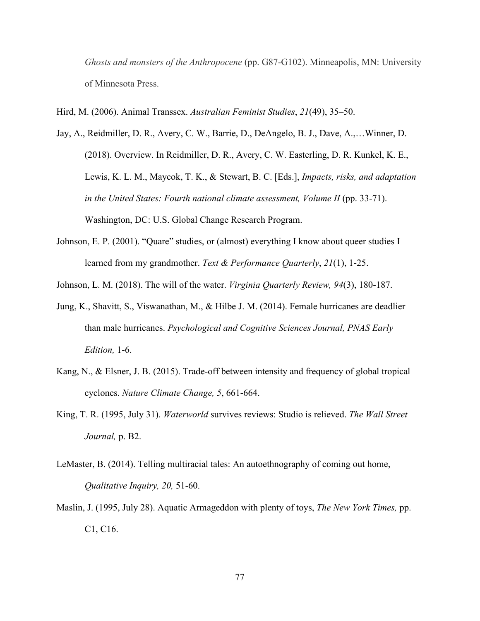*Ghosts and monsters of the Anthropocene* (pp. G87-G102). Minneapolis, MN: University of Minnesota Press.

Hird, M. (2006). Animal Transsex. *Australian Feminist Studies*, *21*(49), 35–50.

- Jay, A., Reidmiller, D. R., Avery, C. W., Barrie, D., DeAngelo, B. J., Dave, A.,…Winner, D. (2018). Overview. In Reidmiller, D. R., Avery, C. W. Easterling, D. R. Kunkel, K. E., Lewis, K. L. M., Maycok, T. K., & Stewart, B. C. [Eds.], *Impacts, risks, and adaptation in the United States: Fourth national climate assessment, Volume II* (pp. 33-71). Washington, DC: U.S. Global Change Research Program.
- Johnson, E. P. (2001). "Quare" studies, or (almost) everything I know about queer studies I learned from my grandmother. *Text & Performance Quarterly*, *21*(1), 1-25.

Johnson, L. M. (2018). The will of the water. *Virginia Quarterly Review, 94*(3), 180-187.

- Jung, K., Shavitt, S., Viswanathan, M., & Hilbe J. M. (2014). Female hurricanes are deadlier than male hurricanes. *Psychological and Cognitive Sciences Journal, PNAS Early Edition,* 1-6.
- Kang, N., & Elsner, J. B. (2015). Trade-off between intensity and frequency of global tropical cyclones. *Nature Climate Change, 5*, 661-664.
- King, T. R. (1995, July 31). *Waterworld* survives reviews: Studio is relieved. *The Wall Street Journal,* p. B2.
- LeMaster, B. (2014). Telling multiracial tales: An autoethnography of coming out home, *Qualitative Inquiry, 20,* 51-60.
- Maslin, J. (1995, July 28). Aquatic Armageddon with plenty of toys, *The New York Times,* pp. C1, C16.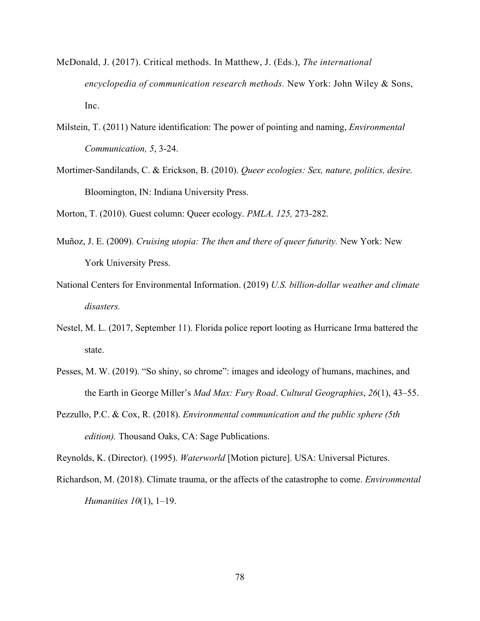- McDonald, J. (2017). Critical methods. In Matthew, J. (Eds.), *The international encyclopedia of communication research methods.* New York: John Wiley & Sons, Inc.
- Milstein, T. (2011) Nature identification: The power of pointing and naming, *Environmental Communication, 5*, 3-24.
- Mortimer-Sandilands, C. & Erickson, B. (2010). *Queer ecologies: Sex, nature, politics, desire.*  Bloomington, IN: Indiana University Press.

Morton, T. (2010). Guest column: Queer ecology. *PMLA, 125,* 273-282.

- Muñoz, J. E. (2009). *Cruising utopia: The then and there of queer futurity.* New York: New York University Press.
- National Centers for Environmental Information. (2019) *U.S. billion-dollar weather and climate disasters.*
- Nestel, M. L. (2017, September 11). Florida police report looting as Hurricane Irma battered the state.
- Pesses, M. W. (2019). "So shiny, so chrome": images and ideology of humans, machines, and the Earth in George Miller's *Mad Max: Fury Road*. *Cultural Geographies*, *26*(1), 43–55.
- Pezzullo, P.C. & Cox, R. (2018). *Environmental communication and the public sphere (5th edition).* Thousand Oaks, CA: Sage Publications.

Reynolds, K. (Director). (1995). *Waterworld* [Motion picture]. USA: Universal Pictures.

Richardson, M. (2018). Climate trauma, or the affects of the catastrophe to come. *Environmental Humanities 10*(1), 1–19.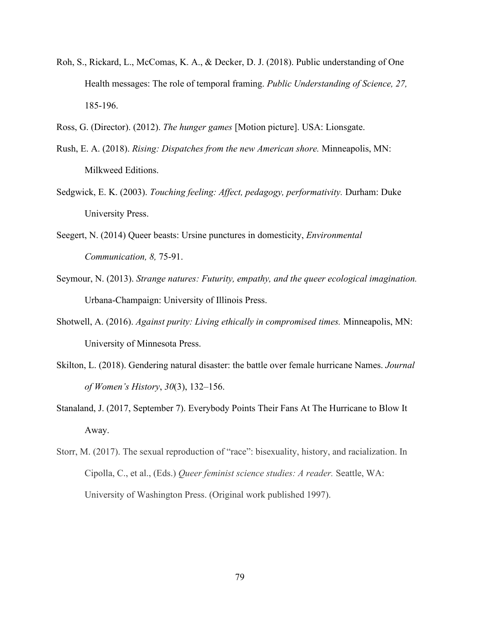- Roh, S., Rickard, L., McComas, K. A., & Decker, D. J. (2018). [Public understanding of One](http://doi.org/10.1177/0963662516670805)  [Health messages: The role of temporal framing.](http://doi.org/10.1177/0963662516670805) *Public Understanding of Science, 27,* 185-196.
- Ross, G. (Director). (2012). *The hunger games* [Motion picture]. USA: Lionsgate.
- Rush, E. A. (2018). *Rising: Dispatches from the new American shore.* Minneapolis, MN: Milkweed Editions.
- Sedgwick, E. K. (2003). *Touching feeling: Affect, pedagogy, performativity.* Durham: Duke University Press.
- Seegert, N. (2014) Queer beasts: Ursine punctures in domesticity, *Environmental Communication, 8,* 75-91.
- Seymour, N. (2013). *Strange natures: Futurity, empathy, and the queer ecological imagination.*  Urbana-Champaign: University of Illinois Press.
- Shotwell, A. (2016). *Against purity: Living ethically in compromised times.* Minneapolis, MN: University of Minnesota Press.
- Skilton, L. (2018). Gendering natural disaster: the battle over female hurricane Names. *Journal of Women's History*, *30*(3), 132–156.
- Stanaland, J. (2017, September 7). Everybody Points Their Fans At The Hurricane to Blow It Away.
- Storr, M. (2017). The sexual reproduction of "race": bisexuality, history, and racialization. In Cipolla, C., et al., (Eds.) *Queer feminist science studies: A reader.* Seattle, WA: University of Washington Press. (Original work published 1997).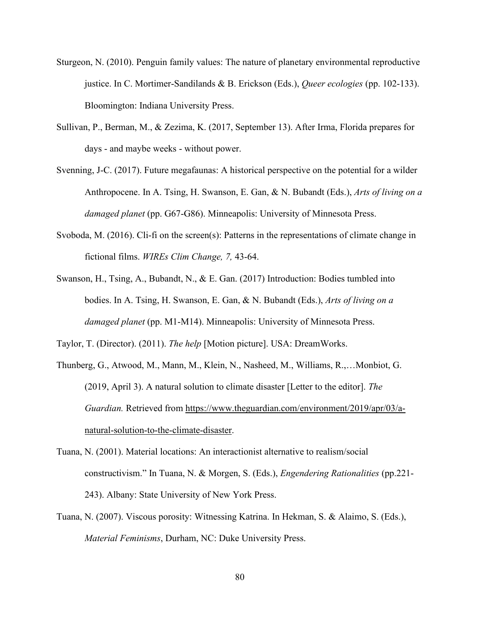- Sturgeon, N. (2010). Penguin family values: The nature of planetary environmental reproductive justice. In C. Mortimer-Sandilands & B. Erickson (Eds.), *Queer ecologies* (pp. 102-133). Bloomington: Indiana University Press.
- Sullivan, P., Berman, M., & Zezima, K. (2017, September 13). After Irma, Florida prepares for days - and maybe weeks - without power.
- Svenning, J-C. (2017). Future megafaunas: A historical perspective on the potential for a wilder Anthropocene. In A. Tsing, H. Swanson, E. Gan, & N. Bubandt (Eds.), *Arts of living on a damaged planet* (pp. G67-G86). Minneapolis: University of Minnesota Press.
- Svoboda, M. (2016). Cli-fi on the screen(s): Patterns in the representations of climate change in fictional films. *WIREs Clim Change, 7,* 43-64.
- Swanson, H., Tsing, A., Bubandt, N., & E. Gan. (2017) Introduction: Bodies tumbled into bodies. In A. Tsing, H. Swanson, E. Gan, & N. Bubandt (Eds.), *Arts of living on a damaged planet* (pp. M1-M14). Minneapolis: University of Minnesota Press.

Taylor, T. (Director). (2011). *The help* [Motion picture]. USA: DreamWorks.

- Thunberg, G., Atwood, M., Mann, M., Klein, N., Nasheed, M., Williams, R.,…Monbiot, G. (2019, April 3). A natural solution to climate disaster [Letter to the editor]. *The Guardian.* Retrieved from [https://www.theguardian.com/environment/2019/apr/03/a](https://www.theguardian.com/environment/2019/apr/03/a-natural-solution-to-the-climate-disaster)[natural-solution-to-the-climate-disaster.](https://www.theguardian.com/environment/2019/apr/03/a-natural-solution-to-the-climate-disaster)
- Tuana, N. (2001). Material locations: An interactionist alternative to realism/social constructivism." In Tuana, N. & Morgen, S. (Eds.), *Engendering Rationalities* (pp.221- 243). Albany: State University of New York Press.
- Tuana, N. (2007). Viscous porosity: Witnessing Katrina. In Hekman, S. & Alaimo, S. (Eds.), *Material Feminisms*, Durham, NC: Duke University Press.